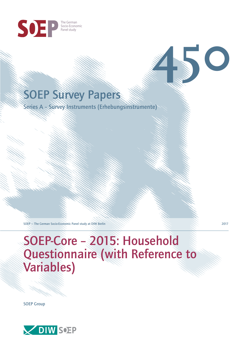

# SOEP Survey Papers

Series A – Survey Instruments (Erhebungsinstrumente)

SOEP — The German Socio-Economic Panel study at DIW Berlin 2017

# SOEP-Core – 2015: Household Questionnaire (with Reference to Variables)

SOEP Group



**450**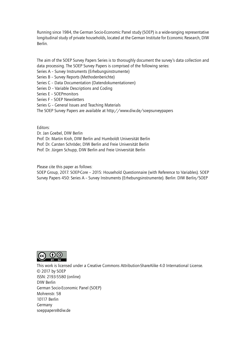Running since 1984, the German Socio-Economic Panel study (SOEP) is a wide-ranging representative longitudinal study of private households, located at the German Institute for Economic Research, DIW Berlin.

The aim of the SOEP Survey Papers Series is to thoroughly document the survey's data collection and data processing. The SOEP Survey Papers is comprised of the following series:

- Series A Survey Instruments (Erhebungsinstrumente)
- Series B Survey Reports (Methodenberichte)
- Series C Data Documentation (Datendokumentationen)
- Series D Variable Descriptions and Coding
- Series E SOEPmonitors
- Series F SOEP Newsletters
- Series G General Issues and Teaching Materials
- The SOEP Survey Papers are available at http://www.diw.de/soepsurveypapers

Editors:

Dr. Jan Goebel, DIW Berlin

Prof. Dr. Martin Kroh, DIW Berlin and Humboldt Universität Berlin

- Prof. Dr. Carsten Schröder, DIW Berlin and Freie Universität Berlin
- Prof. Dr. Jürgen Schupp, DIW Berlin and Freie Universität Berlin

Please cite this paper as follows:

SOEP Group, 2017. SOEP-Core – 2015: Household Questionnaire (with Reference to Variables). SOEP Survey Papers 450: Series A – Survey Instruments (Erhebungsinstrumente). Berlin: DIW Berlin/SOEP



This work is licensed under a Creative Commons Attribution-ShareAlike 4.0 International License. © 2017 by SOEP ISSN: 2193-5580 (online) DIW Berlin German Socio-Economic Pan[el \(SOEP\)](http://creativecommons.org/licenses/by-sa/4.0/) Mohrenstr. 58 10117 Berlin Germany soeppapers@diw.de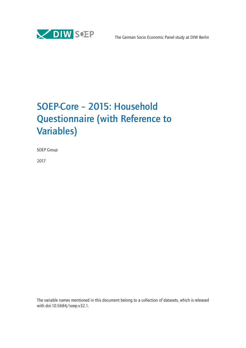

# SOEP-Core – 2015: Household Questionnaire (with Reference to Variables)

SOEP Group

2017

The variable names mentioned in this document belong to a collection of datasets, which is released with doi:10.5684/soep.v32.1.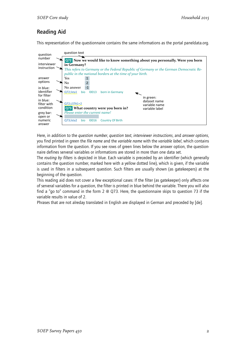# Reading Aid

This representation of the questionnaire contains the same informations as the portal paneldata.org.



Here, in addition to the *question number*, *question text*, *interviewer instructions*, and *answer options*, you find printed in green the *file name* and the *variable name* with the *variable label*, which contains information from the question. If you see rows of green lines below the answer option, the questionnaire defines serveral variables or informations are stored in more than one data set.

The *routing by filters* is depicted in blue. Each variable is preceded by an identifier (which generally contains the question number, marked here with a yellow dotted line), which is given, if the variable is used in filters in a subsequent question. Such filters are usually shown (as gatekeepers) at the beginning of the question.

This reading aid does not cover a few exceptional cases: If the filter (as gatekeeper) only affects one of serveral variables for a question, the filter is printed in blue behind the variable. There you will also find a "go to" command in the form 2 @ Q73. Here, the questionnaire skips to question 73 if the variable results in value of 2.

Phrases that are not alreday translated in English are displayed in German and preceded by [de].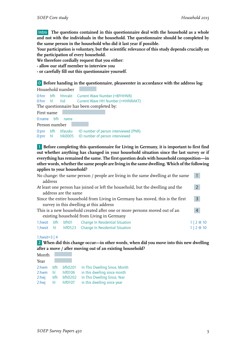Intro **The questions contained in this questionnaire deal with the household as a whole and not with the individuals in the household. The questionnaire should be completed by the same person in the household who did it last year if possible.**

**Your participation is voluntary, but the scientific relevance of this study depends crucially on the participation of every household.**

**We therefore cordially request that you either:**

- **allow our staff member to interview you**
- **or carefully fill out this questionnaire yourself.**

0 **Before handing in the questionnaire, pleaseenter in accordance with the address log:**

|               |                                          | Household number |  |  |  |  |                                                         |  |
|---------------|------------------------------------------|------------------|--|--|--|--|---------------------------------------------------------|--|
|               |                                          |                  |  |  |  |  | O:hnr bfh hhnrakt Current Wave Number (=BFHHNR)         |  |
|               |                                          |                  |  |  |  |  | 0:hnr hl hid Current Wave HH Number (=HHNRAKT)          |  |
|               | The questionnaire has been completed by: |                  |  |  |  |  |                                                         |  |
| First name    |                                          |                  |  |  |  |  |                                                         |  |
| $0:name$ bfh  |                                          | name             |  |  |  |  |                                                         |  |
| Person number |                                          |                  |  |  |  |  |                                                         |  |
|               |                                          |                  |  |  |  |  | O:pnr bfh bfausku ID number of person interviewed (PNR) |  |
|               |                                          |                  |  |  |  |  | 0:pnr hl hlk0005 ID number of person interviewed        |  |

1 **Before completing this questionnaire for Living in Germany, it is important to first find out whether anything has changed in your household situation since the last survey or if everything has remained the same. The first question deals with household composition—in other words, whether the same people are living in the same dwelling. Which of the following applies to your household?**

| No change: the same person / people are living in the same dwelling at the same<br>address |     |                      |                                                                                |                |  |  |  |
|--------------------------------------------------------------------------------------------|-----|----------------------|--------------------------------------------------------------------------------|----------------|--|--|--|
|                                                                                            |     |                      | At least one person has joined or left the household, but the dwelling and the | $\overline{2}$ |  |  |  |
|                                                                                            |     | address are the same |                                                                                |                |  |  |  |
| Since the entire household from Living in Germany has moved, this is the first             |     |                      |                                                                                |                |  |  |  |
|                                                                                            |     |                      | survey in this dwelling at this address                                        |                |  |  |  |
| This is a new household created after one or more persons moved out of an                  |     |                      |                                                                                |                |  |  |  |
| existing household from Living in Germany                                                  |     |                      |                                                                                |                |  |  |  |
| 1;hwsit                                                                                    | bfh | bfh01                | <b>Change In Residential Situation</b>                                         | 1   2 @ 10     |  |  |  |
| 1;hwsit hl                                                                                 |     |                      | hlf0523 Change In Residential Situation                                        | 1 2 @ 10       |  |  |  |

#### 1;hwsit=3 | 4

2 **When did this change occur—in other words, when did you move into this new dwelling after a move / after moving out of an existing household?**

| Month    |     |         |                               |
|----------|-----|---------|-------------------------------|
| Year     |     |         |                               |
| 2:hwm    | hfh | bfh0201 | In This Dwelling Since, Month |
| $2:$ hwm | hL  | hlf0106 | in this dwelling since month  |
| 2:hwj    | bfh | bfh0202 | In This Dwelling Since, Year  |
| 2:hwj    | hl  | hlf0107 | in this dwelling since year   |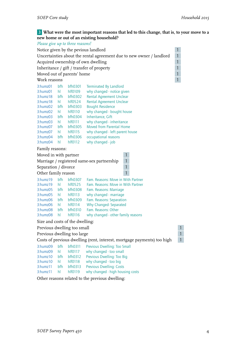# 3 **What were the most important reasons that led to this change, that is, to your move to a new home or out of an existing household?**

| Please give up to three reasons! |                                                                                      |                |                                                                         |              |  |  |  |  |  |
|----------------------------------|--------------------------------------------------------------------------------------|----------------|-------------------------------------------------------------------------|--------------|--|--|--|--|--|
|                                  | $\mathbf{1}$<br>Notice given by the pevious landlord                                 |                |                                                                         |              |  |  |  |  |  |
|                                  | $\mathbf{1}$<br>Uncertainties about the rental agreement due to new owner / landlord |                |                                                                         |              |  |  |  |  |  |
|                                  | $\mathbf{1}$<br>Acquired ownership of own dwelling                                   |                |                                                                         |              |  |  |  |  |  |
|                                  | $\mathbf{1}$<br>Inheritance / gift / transfer of property                            |                |                                                                         |              |  |  |  |  |  |
| Moved out of parents' home       |                                                                                      |                |                                                                         | $\mathbf{1}$ |  |  |  |  |  |
|                                  | $\overline{1}$<br>Work reasons                                                       |                |                                                                         |              |  |  |  |  |  |
| 3:humz01                         | bfh                                                                                  | bfh0301        | <b>Terminated By Landlord</b>                                           |              |  |  |  |  |  |
| 3:humz01                         | hI.                                                                                  | hlf0109        | why changed - notice given                                              |              |  |  |  |  |  |
| 3:humz18                         | bfh                                                                                  | <b>bfh0302</b> | <b>Rental Agreement Unclear</b>                                         |              |  |  |  |  |  |
| $3:$ humz $18$                   | hl                                                                                   | $h$ $f$ $0524$ | <b>Rental Agreement Unclear</b>                                         |              |  |  |  |  |  |
| 3:humz02                         | bfh                                                                                  | bfb0303        | <b>Bought Residence</b>                                                 |              |  |  |  |  |  |
| 3:humz02                         | hl                                                                                   | hlf0110        | why changed - bought house                                              |              |  |  |  |  |  |
| 3:humz03                         | bfh                                                                                  | <b>bfh0304</b> | Inheritance, Gift                                                       |              |  |  |  |  |  |
| 3:humz03                         | hl                                                                                   | hlf0111        | why changed - inheritance                                               |              |  |  |  |  |  |
| 3:humz07                         | bfh                                                                                  | <b>bfh0305</b> | Moved from Parental Home                                                |              |  |  |  |  |  |
| 3:humz07                         | hl                                                                                   | hlf0115        | why changed - left parent house                                         |              |  |  |  |  |  |
| 3:humz04                         | bfh                                                                                  | bfh0306        | occupational reasons                                                    |              |  |  |  |  |  |
| 3:humz04                         | hl                                                                                   | $h$ fol $12$   | why changed - job                                                       |              |  |  |  |  |  |
| Family reasons:                  |                                                                                      |                |                                                                         |              |  |  |  |  |  |
| Moved in with partner            |                                                                                      |                | 1                                                                       |              |  |  |  |  |  |
|                                  |                                                                                      |                | $\mathbf{1}$<br>Marriage / registered same-sex partnership              |              |  |  |  |  |  |
| Separation / divorce             |                                                                                      |                | $\mathbf{1}$                                                            |              |  |  |  |  |  |
| Other family reason              |                                                                                      |                | $\mathbf{1}$                                                            |              |  |  |  |  |  |
| $3:$ humz $19$                   | bfh                                                                                  | bfh0307        | Fam. Reasons: Move in With Partner                                      |              |  |  |  |  |  |
| 3:humz19                         | hl                                                                                   | $h$ $f$ $0525$ | Fam. Reasons: Move in With Partner                                      |              |  |  |  |  |  |
| 3:humz05                         | bfh                                                                                  | <b>bfh0308</b> | Fam. Reasons: Marriage                                                  |              |  |  |  |  |  |
| 3:humz05                         | hl                                                                                   | $h$ $f$ $0113$ | why changed - marriage                                                  |              |  |  |  |  |  |
| 3:humz06                         | bfh                                                                                  | bfh0309        | Fam. Reasons: Separation                                                |              |  |  |  |  |  |
| 3:humz06 hl                      |                                                                                      | hlf0114        | <b>Why Changed-Separated</b>                                            |              |  |  |  |  |  |
| 3:humz08                         | bfh                                                                                  | bfh0310        | Fam. Reasons: Other                                                     |              |  |  |  |  |  |
| 3:humz08                         | hl                                                                                   | hlf0116        | why changed - other family reasons                                      |              |  |  |  |  |  |
| Size and costs of the dwelling:  |                                                                                      |                |                                                                         |              |  |  |  |  |  |
| Previous dwelling too small      |                                                                                      |                |                                                                         | $-1$<br>I    |  |  |  |  |  |
| Previous dwelling too large      |                                                                                      |                |                                                                         | 1            |  |  |  |  |  |
|                                  |                                                                                      |                | Costs of previous dwelling (rent, interest, mortgage payments) too high | $\mathbf{1}$ |  |  |  |  |  |
| 3:humz09                         | bfh                                                                                  | bfh0311        | Previous Dwelling: Too Small                                            |              |  |  |  |  |  |
| 3:humz09                         | hl                                                                                   | $h$ fol $17$   | why changed - too small                                                 |              |  |  |  |  |  |
| 3:humz10                         | bfh                                                                                  | bfh0312        | Previous Dwelling: Too Big                                              |              |  |  |  |  |  |
| 3:humz10                         | hI                                                                                   | hlf0118        | why changed - too big                                                   |              |  |  |  |  |  |
| 3:humz11                         | bfh                                                                                  | bfh0313        | <b>Previous Dwelling: Costs</b>                                         |              |  |  |  |  |  |
| 3:humz11                         | hl                                                                                   | hlf0119        | why changed - high housing costs                                        |              |  |  |  |  |  |
|                                  |                                                                                      |                |                                                                         |              |  |  |  |  |  |

Other reasons related to the previous dwelling: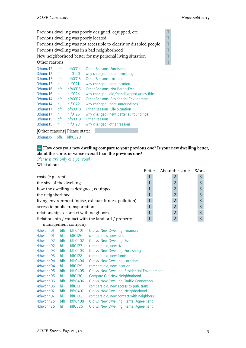|                |                                                         |                   | Previous dwelling was poorly designed, equipped, etc.              |                |  |  |  |  |
|----------------|---------------------------------------------------------|-------------------|--------------------------------------------------------------------|----------------|--|--|--|--|
|                |                                                         |                   | Previous dwelling was poorly located                               | 1              |  |  |  |  |
|                |                                                         |                   | Previous dwelling was not accessible to elderly or disabled people | $\overline{1}$ |  |  |  |  |
|                |                                                         |                   | Previous dwelling was in a bad neighborhood                        | $\mathbf{1}$   |  |  |  |  |
|                |                                                         |                   | New neighborhood better for my personal living situation           |                |  |  |  |  |
| Other reasons  |                                                         |                   |                                                                    |                |  |  |  |  |
| $3:$ humz $12$ | hfh                                                     | bfh0314           | <b>Other Reasons: Furnishing</b>                                   |                |  |  |  |  |
| $3:$ humz $12$ | hl                                                      | $h$ $f$ $0120$    | why changed - poor furnishing                                      |                |  |  |  |  |
| $3:$ humz $13$ | <b>bfh0315</b><br><b>Other Reasons: Location</b><br>hfh |                   |                                                                    |                |  |  |  |  |
| $3:$ humz $13$ | hl                                                      | $h$ $f$ $O$ $121$ | why changed - poor location                                        |                |  |  |  |  |
| $3:$ humz $16$ | hfh                                                     | bfh0316           | <b>Other Reasons: Not Barrier-Free</b>                             |                |  |  |  |  |

3:humz16 hl hlf0124 why changed - old/handicapped accessible 3:humz14 bfh bfh0317 Other Reasons: Residential Environment<br>3:humz14 hl hlf0122 why changed - poor surroundings

3:humz17 bfh bfh0318 Other Reasons: Life Situation<br>3:humz17 hl hlf0125 why changed - new, better sur

why changed - poor surroundings

why changed - other reasons

why changed - new, better surroundings<br>Other Reasons

| 1 |  |
|---|--|
| 1 |  |
| J |  |
| 1 |  |
|   |  |

| 4 How does your new dwelling compare to your previous one? Is your new dwelling better, |  |
|-----------------------------------------------------------------------------------------|--|
| about the same, or worse overall than the previous one?                                 |  |

*Please mark only one per row!* What about ...

3:humz15 bfh bfh0319<br>3:humz15 hl hlf0123

[Other reasons] Please state: 3:humzso bfh bfh0320

|                                                      | <b>Better</b> | About the same | Worse |
|------------------------------------------------------|---------------|----------------|-------|
| costs (e.g., rent)                                   |               |                | 3     |
| the size of the dwelling                             |               |                | 3     |
| how the dwelling is designed, equipped               |               |                | 3     |
| the neighborhood                                     |               | $\overline{2}$ | 3     |
| living environment (noise, exhaust fumes, pollution) |               | $\overline{2}$ | 3     |
| access to public transportation                      |               | $\overline{2}$ | 3     |
| relationships / contact with neighbors               |               | $\overline{2}$ | 3     |
| Relationship / contact with the landlord / property  |               | $\overline{2}$ | 3     |
| management company                                   |               |                |       |

| 4:hwohn01 | bfh | bfh0401        | Old vs. New Dwelling: Finances                |
|-----------|-----|----------------|-----------------------------------------------|
| 4:hwohn01 | hl  | $h$ fol $26$   | compare old, new rent                         |
| 4:hwohn02 | bfh | bfh0402        | Old vs. New Dwelling: Size                    |
| 4:hwohn02 | hl  | hlf0127        | compare old, new size                         |
| 4:hwohn03 | bfh | bfh0403        | Old vs. New Dwelling: Furnishing              |
| 4:hwohn03 | hI  | hlf0128        | compare old, new furnishing                   |
| 4:hwohn04 | bfh | bfh0404        | Old vs. New Dwelling: Location                |
| 4:hwohn04 | hl  | $h$ $f$ $0129$ | compare old, new location                     |
| 4:hwohn05 | bfh | bfh0405        | Old vs. New Dwelling: Residential Environment |
| 4:hwohn05 | hI  | hlf0130        | Compare Old, New Neighborhood                 |
| 4:hwohn06 | bfh | bfh0406        | Old vs. New Dwelling: Traffic Connection      |
| 4:hwohn06 | hl  | hlf0131        | compare old, new access to pub. trans.        |
| 4:hwohn07 | bfh | bfh0407        | Old vs. New Dwelling: Neighborhood            |
| 4:hwohn07 | hl  | $h$ $f$ $0132$ | compare old, new contact with neighbors       |
| 4:hwohn25 | bfh | <b>bfh0408</b> | Old vs. New Dwelling: Rental Agreement        |
| 4:hwohn25 | hl  | $h$ $f$ $0526$ | Old vs. New Dwelling: Rental Agreement        |
|           |     |                |                                               |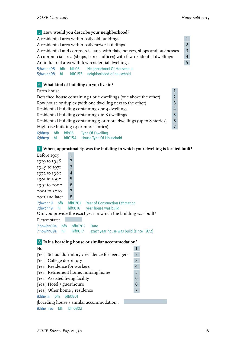## 5 **How would you describe your neighborhood?**

| A residential area with mostly old buildings<br>$\mathbf{1}$                                 |                                                        |  |  |                                               |  |  |  |  |
|----------------------------------------------------------------------------------------------|--------------------------------------------------------|--|--|-----------------------------------------------|--|--|--|--|
| $\mathcal{P}$<br>A residential area with mostly newer buildings                              |                                                        |  |  |                                               |  |  |  |  |
| $\overline{3}$<br>A residential and commercial area with flats, houses, shops and businesses |                                                        |  |  |                                               |  |  |  |  |
| A commercial area (shops, banks, offices) with few residential dwellings<br>$\overline{4}$   |                                                        |  |  |                                               |  |  |  |  |
|                                                                                              | An industrial area with few residential dwellings<br>5 |  |  |                                               |  |  |  |  |
|                                                                                              |                                                        |  |  | 5;hwohn08 bfh bfh05 Neighborhood Of Household |  |  |  |  |
| 5;hwohn08 hl hlf0153                                                                         |                                                        |  |  | neighborhood of household                     |  |  |  |  |
|                                                                                              |                                                        |  |  |                                               |  |  |  |  |

# 6 **What kind of building do you live in?**

# Farm house 1 and 1 and 1 and 1 and 1 and 1 and 1 and 1 and 1 and 1 and 1 and 1 and 1 and 1 and 1 and 1 and 1 and 1 and 1 and 1 and 1 and 1 and 1 and 1 and 1 and 1 and 1 and 1 and 1 and 1 and 1 and 1 and 1 and 1 and 1 and 1 Detached house containing 1 or 2 dwellings (one above the other) 2<br>Row house or duplex (with one dwelling next to the other) 3 Row house or duplex (with one dwelling next to the other)<br>Residential building containing 3 or 4 dwellings Residential building containing 3 or 4 dwellings<br>
Residential building containing 5 to 8 dwellings<br>
5 Residential building containing  $5$  to  $8$  dwellings Residential building containing 9 or more dwellings (up to 8 stories) 6 High-rise building (9 or more stories) 7 6;hhtyp bfh bfh06 Type Of Dwelling 6;hhtyp hl hlf0154 House Type Of Household

7 **When, approximately, was the building in which your dwelling is located built?**

|                   |                | o                                                               |
|-------------------|----------------|-----------------------------------------------------------------|
| Before 1919       | 1              |                                                                 |
| $1919$ to $1948$  | $\overline{2}$ |                                                                 |
| 1949 to 1971      | 3              |                                                                 |
| $1972$ to $1980$  | 4              |                                                                 |
| $1981$ to $1990$  | 5              |                                                                 |
| 1991 to 2000      | 6              |                                                                 |
| 2001 to 2010      | $\overline{7}$ |                                                                 |
| 2011 and later    | 8              |                                                                 |
| 7:hwohn9 bfh      | bfh0701        | <b>Year of Construction Estimation</b>                          |
| 7;hwohn9 hl       | hlf0016        | year house was build                                            |
|                   |                | Can you provide the exact year in which the building was built? |
| Please state:     |                |                                                                 |
| 7:howhn09a<br>bfh | bfh0702        | Date                                                            |
| 7:howhn09a<br>hl  | hlf0017        | exact year house was build (since 1972)                         |

## 8 **Is it a boarding house or similar accommodation?**

| No                                                |               |  |  |  |
|---------------------------------------------------|---------------|--|--|--|
| [Yes:] School dormitory / residence for teenagers | $\mathcal{L}$ |  |  |  |
| [Yes:] College dormitory                          | 3             |  |  |  |
| [Yes:] Residence for workers                      | 4             |  |  |  |
| [Yes:] Retirement home, nursing home              | 5             |  |  |  |
| [Yes:] Assisted living facility                   | 6             |  |  |  |
| [Yes:] Hotel / guesthouse                         | 8             |  |  |  |
| [Yes:] Other home / residence                     |               |  |  |  |
| 8;hheim bfh bfh0801                               |               |  |  |  |
| [boarding house / similar accommodation]:         |               |  |  |  |
| 8:hheimso bfh<br>hfh0802                          |               |  |  |  |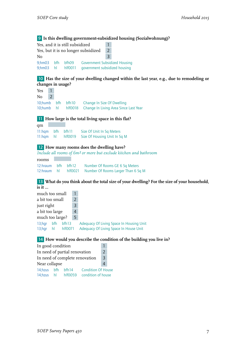## 9 **Is this dwelling government-subsidized housing (Sozialwohnung)?**

| Yes, and it is still subsidized         |   |                                                                       |   |  |
|-----------------------------------------|---|-----------------------------------------------------------------------|---|--|
| Yes, but it is no longer subsidized     | 2 |                                                                       |   |  |
| No                                      |   |                                                                       | 3 |  |
| 9:hm03 bfh bfh09<br>$9:hm03$ hl hlf0011 |   | <b>Government Subsidized Housing</b><br>government subsidized housing |   |  |

## 10 **Has the size of your dwelling changed within the last year, e.g., due to remodeling or changes in usage?**

| Yes 1  |  |                                                                                                             |
|--------|--|-------------------------------------------------------------------------------------------------------------|
| $No$ 2 |  |                                                                                                             |
|        |  | 10;humb bfh bfh10 Change In Size Of Dwelling<br>10; humb h hl hlf0018 Change In Living Area Since Last Year |

#### 11 **How large is the total living space in this flat?**

| qm |                        |                                                |
|----|------------------------|------------------------------------------------|
|    | $11:$ hqm bfh bfh $11$ | Size Of Unit In Sq Meters                      |
|    |                        | 11:hqm hl hlf0019 Size Of Housing Unit In Sq M |

### 12 **How many rooms does the dwelling have?**

*Include all rooms of 6m² or more but exclude kitchen and bathroom*

| rooms              |  |                                                        |
|--------------------|--|--------------------------------------------------------|
| 12:hraum bfh bfh12 |  | Number Of Rooms GE 6 Sq Meters                         |
|                    |  | 12:hraum hl hlf0021 Number Of Rooms Larger Than 6 Sq M |

#### 13 **What do you think about the total size of your dwelling? For the size of your household, is it …**

| much too small           |           |                  |               |                                                                                    |
|--------------------------|-----------|------------------|---------------|------------------------------------------------------------------------------------|
| a bit too small          |           |                  | $\mathcal{P}$ |                                                                                    |
| just right               |           |                  | 3             |                                                                                    |
| a bit too large          |           |                  | 4             |                                                                                    |
| much too large?          |           |                  | 5             |                                                                                    |
| $13$ ; hgr<br>$13$ ; hqr | bfh<br>hl | bf 13<br>hlf0071 |               | Adequacy Of Living Space In Housing Unit<br>Adequacy Of Living Space In House Unit |

## 14 **How would you describe the condition of the building you live in?**

| In good condition              |                    |                           |  |  |
|--------------------------------|--------------------|---------------------------|--|--|
| In need of partial renovation  | $\overline{2}$     |                           |  |  |
| In need of complete renovation | $\overline{3}$     |                           |  |  |
| Near collapse                  |                    |                           |  |  |
| 14; hzus bfh bfh 14            |                    | <b>Condition Of House</b> |  |  |
|                                | 14;hzus hl hlf0059 | condition of house        |  |  |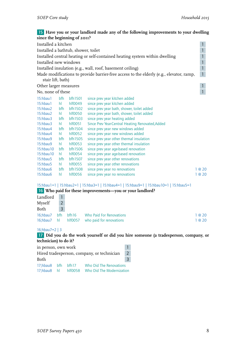## 15 **Have you or your landlord made any of the following improvements to your dwelling since the beginning of 2011?**

| since the segmining or $\sim$       |      |                |                                                                                         |                           |
|-------------------------------------|------|----------------|-----------------------------------------------------------------------------------------|---------------------------|
| Installed a kitchen                 |      |                |                                                                                         | $\mathbf{1}$              |
| Installed a bathtub, shower, toilet |      |                |                                                                                         | $\mathbf{1}$              |
|                                     |      |                | Installed central heating or self-contained heating system within dwelling              | $\mathbf{1}$              |
| Installed new windows               |      |                |                                                                                         | $\mathbf{1}$              |
|                                     |      |                | Installed insulation (e.g., wall, roof, basement ceiling)                               | $\ensuremath{\mathsf{1}}$ |
|                                     |      |                | Made modifications to provide barrier-free access to the elderly (e.g., elevator, ramp, | $\mathbf{1}$              |
| stair lift, bath)                   |      |                |                                                                                         |                           |
| Other larger measures               |      |                |                                                                                         | $\mathbf{1}$              |
| No, none of these                   |      |                |                                                                                         | $\mathbf{1}$              |
| $15:h$ bau $1$                      | bfh  | bfh1501        | since prev year kitchen added                                                           |                           |
| $15:h$ bau $1$                      | hI.  | $h$ $f$ $0049$ | since prev year kitchen added                                                           |                           |
| 15:hbau2                            | bfh  | bfh1502        | since prev year bath, shower, toilet added                                              |                           |
| 15:hbau2                            | hI.  | hlf0050        | since prev year bath, shower, toilet added                                              |                           |
| 15:hbau3                            | bfh  | <b>bfh1503</b> | since prev year heating added                                                           |                           |
| 15:hbau3                            | hl   | hlf0051        | Since Prev Year-Central Heating Renovated, Added                                        |                           |
| 15:hbau4                            | bfh  | bfh1504        | since prev year new windows added                                                       |                           |
| 15:hbau4                            | hl - | hlf0052        | since prev year new windows added                                                       |                           |
| 15:hbau9                            | bfh  | bfh1505        | since prev year other thermal insulation                                                |                           |
| 15:hbau9                            | hl   | $h$ $f$ $0053$ | since prev year other thermal insulation                                                |                           |
| $15:$ hbau $10$                     | bfh  | bfh1506        | since prev year age-based renovation                                                    |                           |
| 15:hbau10                           | hl   | hlf0054        | since prev year age-based renovation                                                    |                           |
| $15:h$ bau $5$                      | bfh  | bfh1507        | since prev year other renovations                                                       |                           |
| 15:hbau5                            | hL   | hlf0055        | since prev year other renovations                                                       |                           |
| 15:hbau6                            | bfh  | <b>bfh1508</b> | since prev year no renovations                                                          | 1@20                      |
| 15:hbau6                            | hl   | hlf0056        | since prev year no renovations                                                          | 1 @ 20                    |
|                                     |      |                |                                                                                         |                           |

15:hbau1=1 | 15:hbau2=1 | 15:hba3=1 | 15:hbau4=1 | 15:hbau9=1 | 15:hbau10=1 | 15:hbau5=1

#### 16 **Who paid for these improvements—you or your landlord?**

| Landlord |                |                                                 |        |
|----------|----------------|-------------------------------------------------|--------|
| Myself   | $2^{\circ}$    |                                                 |        |
| Both     | $\overline{3}$ |                                                 |        |
| 16:hbau7 |                | <b>bfh</b> bfh16 Who Paid For Renovations       | 1 @ 20 |
|          |                | 16; hbau 7 hl hlf 0057 who paid for renovations | 1 @ 20 |

#### 16;hbau7=2 | 3

17 **Did you do the work yourself or did you hire someone (a tradesperson, company, or technician) to do it?**

| in person, own work                                          |  |  |                                              |   |  |
|--------------------------------------------------------------|--|--|----------------------------------------------|---|--|
| Hired tradesperson, company, or technician<br>$\overline{2}$ |  |  |                                              |   |  |
| Both                                                         |  |  |                                              | 3 |  |
|                                                              |  |  | 17; hbau8 bfh bfh 17 Who Did The Renovations |   |  |
| 17;hbau8 hl hlf0058                                          |  |  | Who Did The Modernization                    |   |  |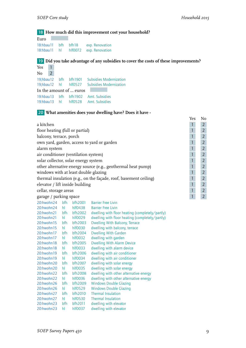# 18 **How much did this improvement cost your household?**

| Euro                |  |                                      |
|---------------------|--|--------------------------------------|
| 18:hbau11 bfh bfh18 |  | exp. Renovation                      |
|                     |  | 18:hbau11 hl hlf0072 exp. Renovation |

# 19 **Did you take advantage of any subsidies to cover the costs of these improvements?**

| Yes            | $\overline{1}$ |                         |                                                                             |
|----------------|----------------|-------------------------|-----------------------------------------------------------------------------|
| N <sub>0</sub> | $\overline{2}$ |                         |                                                                             |
|                |                | 19:hbau12 bfh bfh1901   | <b>Subsidies Modernization</b>                                              |
|                |                | 19;hbau12 hl hlf0527    | <b>Subsidies Modernization</b>                                              |
|                |                | In the amount of  euros |                                                                             |
|                |                |                         | 19:hbau13 bfh bfh1902 Amt. Subsidies<br>19:hbau13 hl hlf0528 Amt. Subsidies |

# 20 **What amenities does your dwelling have? Does it have -**

|                                                                  | Yes | No             |
|------------------------------------------------------------------|-----|----------------|
| a kitchen                                                        |     |                |
| floor heating (full or partial)                                  |     | $\overline{2}$ |
| balcony, terrace, porch                                          |     | $\overline{2}$ |
| own yard, garden, access to yard or garden                       |     |                |
| alarm system                                                     |     | $\overline{2}$ |
| air conditioner (ventilation system)                             |     | $\overline{2}$ |
| solar collector, solar energy system                             |     | $\overline{2}$ |
| other alternative energy source (e.g., geothermal heat pump)     |     | $\overline{2}$ |
| windows with at least double glazing                             |     | $\overline{2}$ |
| thermal insulation (e.g., on the façade, roof, basement ceiling) |     | $\overline{2}$ |
| elevator / lift inside building                                  |     | $\overline{2}$ |
| cellar, storage areas                                            |     |                |
| garage / parking space                                           |     |                |

| 20:hwohn24 | bfh | bfh2001    | <b>Barrier Free Livin</b>                       |
|------------|-----|------------|-------------------------------------------------|
| 20:hwohn24 | hl  | hlf0438    | <b>Barrier Free Livin</b>                       |
| 20:hwohn21 | bfh | bfh2002    | dwelling with floor heating (completely/partly) |
| 20:hwohn21 | hl  | hlf0029    | dwelling with floor heating (completely/partly) |
| 20:hwohn15 | bfh | bfh2003    | <b>Dwelling With Balcony, Terrace</b>           |
| 20:hwohn15 | hI  | hlf0030    | dwelling with balcony, terrace                  |
| 20:hwohn17 | bfh | bfh2004    | <b>Dwelling With Garden</b>                     |
| 20:hwohn17 | hl  | hlf0032    | dwelling with garden                            |
| 20:hwohn18 | bfh | bfh2005    | <b>Dwelling With Alarm Device</b>               |
| 20:hwohn18 | hI  | hlf0033    | dwelling with alarm device                      |
| 20:hwohn19 | bfh | bfh2006    | dwelling with air conditioner                   |
| 20:hwohn19 | hI  | $h$ IfOO34 | dwelling with air conditioner                   |
| 20:hwohn20 | bfh | bfh2007    | dwelling with solar energy                      |
| 20:hwohn20 | hI  | hlf0035    | dwelling with solar energy                      |
| 20:hwohn22 | bfh | bfh2008    | dwelling with other alternative energy          |
| 20:hwohn22 | hl  | hlf0036    | dwelling with other alternative energy          |
| 20:hwohn26 | bfh | bfh2009    | <b>Windows Double Glazing</b>                   |
| 20:hwohn26 | hL  | hlf0529    | <b>Windows Double Glazing</b>                   |
| 20:hwohn27 | bfh | bfh2010    | <b>Thermal Insulation</b>                       |
| 20:hwohn27 | hI  | hlf0530    | Thermal Insulation                              |
| 20:hwohn23 | bfh | bfh2011    | dwelling with elevator                          |
| 20:hwohn23 | hl  | hlf0037    | dwelling with elevator                          |
|            |     |            |                                                 |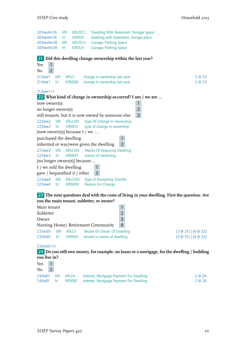

23 **The next questions deal with the costs of living in your dwelling. First the question: Are you the main tenant, subletter, or owner?**

| Main tenant        |                    |                  |                                                            |                |                                        |
|--------------------|--------------------|------------------|------------------------------------------------------------|----------------|----------------------------------------|
| Subletter          |                    |                  |                                                            |                |                                        |
| Owner              |                    |                  |                                                            |                |                                        |
|                    |                    |                  | Nursing Home/ Retirement Community                         | $\overline{4}$ |                                        |
| 23;hm01<br>23:hm01 | <b>bfh</b><br>- hl | bf 23<br>hlf0001 | Tenant Or Owner Of Dwelling<br>tenant or owner of dwelling |                | $(3@31)$ $(4@32)$<br>$(3@31)$ $(4@32)$ |

#### 23;hm01=3

24 **Do you still owe money, for example, on loans or a mortgage, for the dwelling / building you live in?**

| Yes           |            |         |                                         |        |
|---------------|------------|---------|-----------------------------------------|--------|
| No            |            |         |                                         |        |
| 24;he01       | <b>bfh</b> | bfh24   | Interest, Mortgage Payment For Dwelling | 2 @ 26 |
| $24$ ;he01 hl |            | hlf0087 | Interest, Mortgage Payment For Dwelling | 2@26   |
|               |            |         |                                         |        |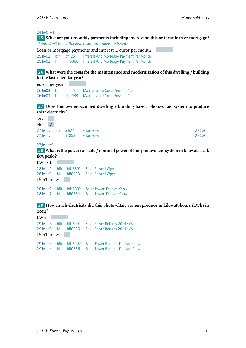#### 24;he01=1

25 **What are your monthly payments including interest on this or these loan or mortgage?** *If you don't know the exact amount, please estimate!*

Loan or mortgage payments and interest … euros per month 25:he02 bfh bfh25 Interest And Mortgage Payment Per Month<br>25:he02 hl hlf0088 Interest And Mortgage Payment Per Month hlf0088 Interest And Mortgage Payment Per Month

#### 26 **What were the costs for the maintenance and modernization of this dwelling / building in the last calendar year?**

euros per year 26:he03 bfh bfh26 Maintenance Costs Previous Year 26:he03 hl hlf0089 Maintenance Costs Previous Year

#### 27 **Does this owner-occupied dwelling / building have a photovoltaic system to produce solar electricity?**

| Yes    |  |                                 |        |
|--------|--|---------------------------------|--------|
| $No$ 2 |  |                                 |        |
|        |  | 27;hsolt bfh bfh27 Solar Power  | 2 @ 30 |
|        |  | 27;hsolt hl hlf0532 Solar Power | 2 @ 30 |

#### 27;hsolt=1

28 **What is the power capacity / nominal power of this photovoltaic system in kilowatt-peak (kWpeak)?**

| kWpeak     |            |         |                          |
|------------|------------|---------|--------------------------|
| 28:hsolt1  | bfh        | bfh2801 | Solar Power kWpeak       |
| 28:hsolt1  | hI.        | hlf0533 | Solar Power kWpeak       |
| Don't know |            |         |                          |
| 28:hsolt2  | <b>bfh</b> | bfh2802 | Solar Power: Do Not Know |
| 28:hsolt2  | hI.        | hlf0534 | Solar Power: Do Not Know |

#### 29 **How much electricity did this photovoltaic system produce in kilowatt-hours (kWh) in 2014?**

| kWh           |                                 |                                                                                   |
|---------------|---------------------------------|-----------------------------------------------------------------------------------|
| 29:hsolt3 bfh | bfh2901                         | Solar Power Returns 2014/kWh<br>29:hsolt3 hl hlf0535 Solar Power Returns 2014/kWh |
| Don't know 1  |                                 |                                                                                   |
| 29:hsolt4 bfh | bfh2902<br>29:hsolt4 hl hlf0536 | Solar Power Returns: Do Not Know<br>Solar Power Returns: Do Not Know              |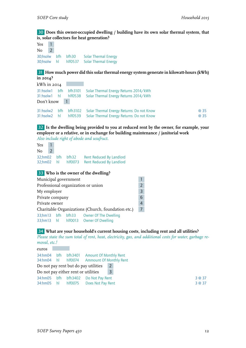30 **Does this owner-occupied dwelling / building have its own solar thermal system, that is, solar collectors for heat generation?**

Yes 1  $No$  2 30;hsolw bfh bfh30 Solar Thermal Energy 30;hsolw hl hlf0537 Solar Thermal Energy

31 **How much power did this solar thermal energy system generate in kilowatt-hours (kWh) in 2014?**

| kWh in 2014                |  |                                                                                                              |      |
|----------------------------|--|--------------------------------------------------------------------------------------------------------------|------|
| 31:hsolw1 hl<br>Don't know |  | 31:hsolw1 bfh bfh3101 Solar Thermal Energy Returns 2014/kWh<br>hlf0538 Solar Thermal Energy Returns 2014/kWh |      |
|                            |  | 31:hsolw2 bfh bfh3102 Solar Thermal Energy Returns: Do not Know                                              | @ 35 |
| 31:hsolw2 hl               |  | hlf0539 Solar Thermal Energy Returns: Do not Know                                                            | @ 35 |

32 **Is the dwelling being provided to you at reduced rent by the owner, for example, your employer or a relative, or in exchange for building maintenance / janitorial work** *Also include right of abode and usufruct.*

|       |            | Rent Reduced By Landlord                |
|-------|------------|-----------------------------------------|
|       |            | Rent Reduced By Landlord                |
| Yes 1 | $\sqrt{2}$ | 32;hm02 bfh bfh32<br>32;hm02 hl hlf0073 |

# 33 **Who is the owner of the dwelling?**

| Municipal government                                                                      |  |  |                                                    |                |  |  |
|-------------------------------------------------------------------------------------------|--|--|----------------------------------------------------|----------------|--|--|
| Professional organization or union                                                        |  |  |                                                    |                |  |  |
| My employer                                                                               |  |  |                                                    |                |  |  |
| Private company                                                                           |  |  |                                                    |                |  |  |
| Private owner<br>$\overline{4}$                                                           |  |  |                                                    |                |  |  |
|                                                                                           |  |  | Charitable Organizations (Church, foundation etc.) | $\overline{7}$ |  |  |
| <b>Owner Of The Dwelling</b><br>33;hm13 bfh bfh33<br>33;hm13 hl hlf0013 Owner Of Dwelling |  |  |                                                    |                |  |  |

#### 34 **What are your household's current housing costs, including rent and all utilities?**

*Please state the sum total of rent, heat, electricity, gas, and additional costs for water, garbage removal, etc.!*

| euros       |                                     |                                            |                |  |
|-------------|-------------------------------------|--------------------------------------------|----------------|--|
|             |                                     | 34:hm04 bfh bfh3401 Amount Of Monthly Rent |                |  |
|             |                                     | 34:hm04 hl hlf0074 Ammount Of Monthly Rent |                |  |
|             |                                     | Do not pay rent but do pay utilities       | $\overline{2}$ |  |
|             | Do not pay either rent or utilities |                                            | $\overline{3}$ |  |
| 34:hm05 bfh |                                     | bfh3402 Do Not Pay Rent                    |                |  |
| 34:hm05 hl  | hlf0075                             | Does Not Pay Rent                          |                |  |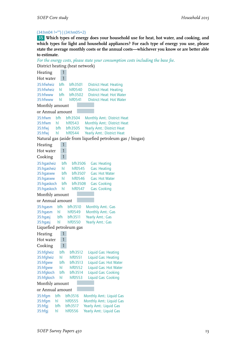#### (34:hm04 !="") | (34:hm05=2)

35 **Which types of energy does your household use for heat, hot water, and cooking, and which types for light and household appliances? For each type of energy you use, please state the average monthly costs or the annual costs—whichever you know or are better able to estimate.**

```
For the energy costs, please state your consumption costs including the base fee.
District heating (heat network)
Heating 1
Hot water 1
35:hfwheiz bfh bfh3501 District Heat: Heating
35:hfwheiz hl hlf0540 District Heat: Heating
35:hfwww bfh bfh3502 District Heat: Hot Water
35:hfwww hl hlf0541 District Heat: Hot Water
Monthly amount
or Annual amount
35:hfwm bfh bfh3504 Monthly Amt.: District Heat
35:hfwm hl hlf0543 Monthly Amt.: District Heat
35:hfwj bfh bfh3505 Yearly Amt.: District Heat
35:hfwj hl hlf0544 Yearly Amt.: District Heat
Natural gas (aside from liquefied petroleum gas / biogas)
Heating 1
Hot water 1
Cooking 1
35:hgasheiz bfh bfh3506 Gas: Heating
35:hgasheiz hl hlf0545 Gas: Heating
35:hgasww bfh bfh3507 Gas: Hot Water
35:hgasww hl hlf0546 Gas: Hot Water
35:hgaskoch bfh bfh3508 Gas: Cooking
35:hgaskoch hl hlf0547 Gas: Cooking
Monthly amount
or Annual amount
35:hgasm bfh bfh3510 Monthly Amt.: Gas
35:hgasm hl hlf0549 Monthly Amt.: Gas
35:hgasj bfh bfh3511 Yearly Amt.: Gas
35:hgasj hl hlf0550 Yearly Amt.: Gas
Liquefied petroleum gas
Heating 1
Hot water 1
Cooking 1
35:hfgheiz bfh bfh3512 Liquid Gas: Heating
35:hfgheiz hl hlf0551 Liquid Gas: Heating<br>35:hfaww bfh bfh3513 Liquid Gas: Hot Wat
35:hfgww bfh bfh3513 Liquid Gas: Hot Water
35:hfgww hl hlf0552 Liquid Gas: Hot Water
35:hfgkoch bfh bfh3514 Liquid Gas: Cooking
35:hfgkoch hl hlf0553 Liquid Gas: Cooking
Monthly amount
or Annual amount
35:hfgm bfh bfh3516 Monthly Amt.: Liquid Gas<br>35:hfgm hl hlf0555 Monthly Amt.: Liquid Gas
         hl hlf0555 Monthly Amt.: Liquid Gas
35:hfgj bfh bfh3517 Yearly Amt.: Liquid Gas
35:hfgj hl hlf0556 Yearly Amt.: Liquid Gas
```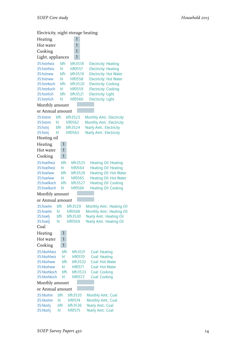Electricity, night storage heating Heating 1 Hot water 1 Cooking 1 Light, appliances 1 35:hstrheiz bfh bfh3518 Electricity: Heating 35:hstrheiz hl hlf0557 Electricity: Heating 35:hstrww bfh bfh3519 Electricity: Hot Water 35:hstrww hl hlf0558 Electricity: Hot Water<br>35:hstrkoch bfh bfh3520 Electricity: Cooking Electricity: Cooking 35:hstrkoch hl hlf0559 Electricity: Cooking 35:hstrlich bfh bfh3521 Electricity: Light 35:hstrlich hl hlf0560 Electricity: Light Monthly amount or Annual amount 35:hstrm bfh bfh3523 Monthly Amt.: Electricity 35:hstrm hl hlf0562 Monthly Amt.: Electricity 35:hstrj bfh bfh3524 Yearly Amt.: Electricity 35:hstrj hl hlf0563 Yearly Amt.: Electricity Heating oil Heating 1 Hot water 1 Cooking 1 35:hoelheiz bfh bfh3525 Heating Oil: Heating 35:hoelheiz hl hlf0564 Heating Oil: Heating 35:hoelww bfh bfh3526 Heating Oil: Hot Water 35:hoelww hl hlf0565 Heating Oil: Hot Water 35:hoelkoch bfh bfh3527 Heating Oil: Cooking 35:hoelkoch hl hlf0566 Heating Oil: Cooking Monthly amount or Annual amount 35:hoelm bfh bfh3529 Monthly Amt.: Heating Oil hlf0568 Monthly Amt.: Heating Oil<br>bfh3530 Yearly Amt.: Heating Oil 35:hoelj bfh bfh3530 Yearly Amt.: Heating Oil 35:hoelj hl hlf0569 Yearly Amt.: Heating Oil Coal Heating 1 Hot water 1 Cooking 1 35:hkohheiz bfh bfh3531 Coal: Heating 35:hkohheiz hl hlf0570 Coal: Heating 35:hkohww bfh bfh3532 Coal: Hot Water 35:hkohww hl hlf0571 Coal: Hot Water 35:hkohkoch bfh bfh3533 Coal: Cooking 35:hkohkoch hl hlf0572 Coal: Cooking Monthly amount or Annual amount 35:hkohm bfh bfh3535 Monthly Amt.: Coal 35:hkohm hl hlf0574 Monthly Amt.: Coal<br>35:hkohi bfh bfh3536 Yearly Amt.: Coal 35:hkohj bfh bfh3536 Yearly Amt.: Coal 35:hkohj hl hlf0575 Yearly Amt.: Coal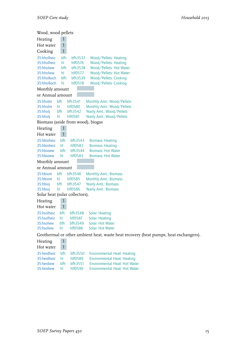| Wood, wood pellets                         |              |                    |                                                                                      |
|--------------------------------------------|--------------|--------------------|--------------------------------------------------------------------------------------|
| Heating                                    | 1            |                    |                                                                                      |
| Hot water                                  | $\mathbf{1}$ |                    |                                                                                      |
| Cooking                                    | $\mathbf{1}$ |                    |                                                                                      |
| 35:hholheiz                                | bfh          | bfh3537            | Wood/Pellets: Heating                                                                |
| 35:hholheiz                                | hl           | hlf0576            | Wood/Pellets: Heating                                                                |
| 35:hholww                                  | bfh          | bfh3538            | Wood/Pellets: Hot Water                                                              |
| 35:hholww                                  | hl           | hlf0577            | Wood/Pellets: Hot Water                                                              |
| 35:hholkoch<br>35:hholkoch                 | bfh<br>hl    | bfh3539<br>hlf0578 | Wood/Pellets: Cooking<br>Wood/Pellets: Cooking                                       |
| Monthly amount                             |              |                    |                                                                                      |
| or Annual amount                           |              |                    |                                                                                      |
| 35:hholm                                   | bfh          | bfh3541            |                                                                                      |
| 35:hholm                                   | hI           | hlf0580            | Monthly Amt.: Wood/Pellets<br>Monthly Amt.: Wood/Pellets                             |
| 35:hholj                                   | bfh          | bfh3542            | Yearly Amt.: Wood/Pellets                                                            |
| 35:hholj                                   | hl           | hlf0581            | Yearly Amt.: Wood/Pellets                                                            |
| Biomass (aside from wood), biogas          |              |                    |                                                                                      |
| Heating                                    |              |                    |                                                                                      |
| Hot water                                  | $\mathbf{1}$ |                    |                                                                                      |
| 35:hbioheiz                                | bfh          | bfh3543            | <b>Biomass: Heating</b>                                                              |
| 35:hbioheiz                                | hl           | hlf0582            | <b>Biomass: Heating</b>                                                              |
| 35:hbioww                                  | bfh          | bfh3544            | <b>Biomass: Hot Water</b>                                                            |
| 35:hbioww                                  | hl           | hlf0583            | <b>Biomass: Hot Water</b>                                                            |
| Monthly amount                             |              |                    |                                                                                      |
| or Annual amount                           |              |                    |                                                                                      |
| 35:hbiom                                   | bfh          | bfh3546            | <b>Monthly Amt.: Biomass</b>                                                         |
| 35:hbiom                                   | hL           | hlf0585            | <b>Monthly Amt.: Biomass</b>                                                         |
| 35:hbioj                                   | bfh<br>hl    | bfh3547<br>hlf0586 | Yearly Amt.: Biomass<br>Yearly Amt.: Biomass                                         |
| 35:hbioj<br>Solar heat (solar collectors). |              |                    |                                                                                      |
| Heating                                    | 1            |                    |                                                                                      |
| Hot water                                  | 1            |                    |                                                                                      |
| 35:hsolheiz                                | bfh          |                    | Solar: Heating                                                                       |
| 35:hsolheiz                                | hI.          | bfh3548<br>hlf0587 | <b>Solar: Heating</b>                                                                |
| 35:hsolww                                  | bfh          | bfh3549            | Solar: Hot Water                                                                     |
| 35:hsolww                                  | hl           | hlf0588            | Solar: Hot Water                                                                     |
|                                            |              |                    | Geothermal or other ambient heat, waste heat recovery (heat pumps, heat exchangers). |
| Heating                                    | $\mathbf{1}$ |                    |                                                                                      |
| Hot water                                  | $\mathbf{1}$ |                    |                                                                                      |
| 35:herdheiz                                | bfh          | bfh3550            | <b>Environmental Heat: Heating</b>                                                   |

35:herdheiz hl hlf0589 Environmental Heat: Heating 35:herdww bfh bfh3551 Environmental Heat: Hot Water 35:herdww hl hlf0590 Environmental Heat: Hot Water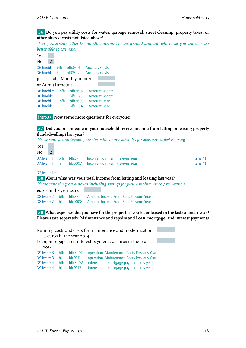#### 36 **Do you pay utility costs for water, garbage removal, street cleaning, property taxes, or other shared costs not listed above?**

*If so, please state either the monthly amount or the annual amount, whichever you know or are better able to estimate.*

| Yes              |   |     |                              |                        |               |
|------------------|---|-----|------------------------------|------------------------|---------------|
| No               | 2 |     |                              |                        |               |
| 36;hnebk         |   | bfh | bfh3601                      | <b>Ancillary Costs</b> |               |
| 36;hnebk         |   | hl  | $h$ $f$ $0592$               | <b>Ancillary Costs</b> |               |
|                  |   |     | please state: Monthly amount |                        |               |
| or Annual amount |   |     |                              |                        |               |
| 36:hnebkm        |   | hfh | bfh3602                      |                        | Amount: Month |
| 36:hnebkm        |   | hl  | hlf0593                      |                        | Amount: Month |
| 36:hnebkj        |   | bfh | bfh3603                      | Amount: Year           |               |
| 36:hnebkj        |   | hl  | hlf0594                      | Amount: Year           |               |



#### 37 **Did you or someone in your household receive income from letting or leasing property (land/dwelling) last year?**

*Please state actual income, not the value of tax subsidies for owner-occupied housing.*

| Yes |  |                                                     |        |
|-----|--|-----------------------------------------------------|--------|
| No  |  |                                                     |        |
|     |  | 37:hverm1 bfh bfh37 Income From Rent Previous Year  | 2 @ 41 |
|     |  | 37:hverm1 hl hlc0007 Income From Rent Previous Year | 2 @ 41 |
|     |  |                                                     |        |

#### 37;hverm1=1

#### 38 **About what was your total income from letting and leasing last year?**

*Please state the gross amount including savings for future maintenance / renovation.*

euros in the year 2014

38:hverm2 bfh bfh38 Amount Income From Rent Previous Year<br>38:hverm2 hl hlc0008 Amount Income From Rent Previous Year hlc0008 Amount Income From Rent Previous Year

39 **What expenses did you have for the properties you let or leased in the last calendar year? Please state separately: Maintenance and repairs and Loan, mortgage, and interest payments**

| Running costs and costs for maintenance and modernization |                        |              |                                                          |  |  |  |  |  |
|-----------------------------------------------------------|------------------------|--------------|----------------------------------------------------------|--|--|--|--|--|
|                                                           | euros in the year 2014 |              |                                                          |  |  |  |  |  |
|                                                           |                        |              | Loan, mortgage, and interest payments  euros in the year |  |  |  |  |  |
| 20I4                                                      |                        |              |                                                          |  |  |  |  |  |
| 39:hverm3                                                 | hfh                    | bfh3901      | operation, Maintenance Costs Previous Year               |  |  |  |  |  |
| 39:hverm3                                                 | hl                     | hlc0111      | operation, Maintenance Costs Previous Year               |  |  |  |  |  |
| 39:hverm4                                                 | hfh                    | bfh3902      | interest and mortgage payment prev year                  |  |  |  |  |  |
| 39:hverm4                                                 | hl                     | $h$ $r$ 0112 | interest and mortgage payment prev year                  |  |  |  |  |  |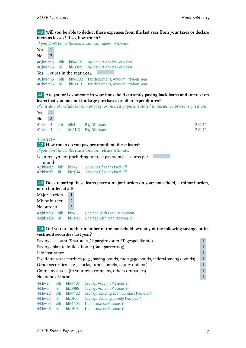#### 40 **Will you be able to deduct these expenses from the last year from your taxes or declare them as losses? If so, how much?**

*If you don't know the exact amount, please estimate!*

| Yes                       |                              |            |                        |                                                                              |  |  |  |
|---------------------------|------------------------------|------------|------------------------|------------------------------------------------------------------------------|--|--|--|
| No.                       | $\mathcal{P}$                |            |                        |                                                                              |  |  |  |
| 40;hverm5<br>40;hverm5 hl |                              |            | bfh bfh4001<br>hlc0009 | tax deductions Previous Year<br>tax deductions Previous Year                 |  |  |  |
|                           | Yes,  euros in the year 2014 |            |                        |                                                                              |  |  |  |
| 40:hverm6<br>40:hverm6    |                              | <b>bfh</b> | bfh4002<br>hl hlc0010  | tax deductions, Amount Previous Year<br>tax deductions, Amount Previous Year |  |  |  |

41 **Are you or is someone in your household currently paying back loans and interest on loans that you took out for large purchases or other expenditures?**

*Please do not include loan, mortgage, or interest payments stated in answer to previous questions.*

| Yes               |  |                                                  |        |
|-------------------|--|--------------------------------------------------|--------|
| No                |  |                                                  |        |
|                   |  | 41; hkred 1 bfh bfh41 Pay Off Loans              | 2 @ 44 |
|                   |  | 41; hkred 1 hl hlc0113 Pay Off Loans             | 2 @ 44 |
| $41;$ hkred $1=1$ |  |                                                  |        |
|                   |  | 42 How much do you pay per month on these loans? |        |

*If you don't know the exact amount, please estimate!*

| Loan repayment (including interest payments)  euros per |  |  |                                               |  |  |  |
|---------------------------------------------------------|--|--|-----------------------------------------------|--|--|--|
| month                                                   |  |  |                                               |  |  |  |
|                                                         |  |  | 42:hkred2 bfh bfh42 Amount Of Loans Paid Off  |  |  |  |
|                                                         |  |  | 42:hkred2 hl hlc0114 Amount Of Loans Paid Off |  |  |  |

#### 43 **Does repaying these loans place a major burden on your household, a minor burden, or no burden at all?**

| Major burden  |  |               |                                                    |  |
|---------------|--|---------------|----------------------------------------------------|--|
| Minor burden  |  | $\mathcal{L}$ |                                                    |  |
| No burden     |  | 3             |                                                    |  |
| 43:hkred3 bfh |  | bfh43         | Charged With Loan Repayment                        |  |
|               |  |               | 43; hkred 3 hl hlc0115 Charged with loan repayment |  |

#### 44 **Did you or another member of the household own any of the following savings or investment securities last year?**

|                                                                                                                                                                                                                                                                                                                                    | Savings account (Sparbuch / Spargirokonto /Tagesgeldkonto)                                  |                                                                                                                                                                                                                                                                                                                                                                                      |                                                    |  |  |  |  |
|------------------------------------------------------------------------------------------------------------------------------------------------------------------------------------------------------------------------------------------------------------------------------------------------------------------------------------|---------------------------------------------------------------------------------------------|--------------------------------------------------------------------------------------------------------------------------------------------------------------------------------------------------------------------------------------------------------------------------------------------------------------------------------------------------------------------------------------|----------------------------------------------------|--|--|--|--|
|                                                                                                                                                                                                                                                                                                                                    | Savings plan to build a home (Bausparvertrag)                                               |                                                                                                                                                                                                                                                                                                                                                                                      |                                                    |  |  |  |  |
| Life insurance                                                                                                                                                                                                                                                                                                                     |                                                                                             |                                                                                                                                                                                                                                                                                                                                                                                      |                                                    |  |  |  |  |
|                                                                                                                                                                                                                                                                                                                                    | Fixed-interest securities (e.g., saving bonds, mortgage bonds, federal savings bonds)<br>47 |                                                                                                                                                                                                                                                                                                                                                                                      |                                                    |  |  |  |  |
|                                                                                                                                                                                                                                                                                                                                    | Other securities (e.g., stocks, funds, bonds, equity options)                               |                                                                                                                                                                                                                                                                                                                                                                                      |                                                    |  |  |  |  |
|                                                                                                                                                                                                                                                                                                                                    | Company assets (in your own company, other companies)                                       |                                                                                                                                                                                                                                                                                                                                                                                      |                                                    |  |  |  |  |
| No, none of these                                                                                                                                                                                                                                                                                                                  |                                                                                             |                                                                                                                                                                                                                                                                                                                                                                                      |                                                    |  |  |  |  |
| 44: hwa1                                                                                                                                                                                                                                                                                                                           | bfh                                                                                         | bfh4401                                                                                                                                                                                                                                                                                                                                                                              | <b>Savings Account Previous Yr</b>                 |  |  |  |  |
| 44:hwa1 hl                                                                                                                                                                                                                                                                                                                         |                                                                                             | hlc0098                                                                                                                                                                                                                                                                                                                                                                              | <b>Savings Account Previous Yr</b>                 |  |  |  |  |
| $\mathbf{A}$ $\mathbf{A}$ $\mathbf{A}$ $\mathbf{A}$ $\mathbf{A}$ $\mathbf{A}$ $\mathbf{A}$ $\mathbf{A}$ $\mathbf{A}$ $\mathbf{A}$ $\mathbf{A}$ $\mathbf{A}$ $\mathbf{A}$ $\mathbf{A}$ $\mathbf{A}$ $\mathbf{A}$ $\mathbf{A}$ $\mathbf{A}$ $\mathbf{A}$ $\mathbf{A}$ $\mathbf{A}$ $\mathbf{A}$ $\mathbf{A}$ $\mathbf{A}$ $\mathbf{$ |                                                                                             | $\overline{1}$ $\overline{1}$ $\overline{1}$ $\overline{1}$ $\overline{1}$ $\overline{1}$ $\overline{1}$ $\overline{1}$ $\overline{1}$ $\overline{1}$ $\overline{1}$ $\overline{1}$ $\overline{1}$ $\overline{1}$ $\overline{1}$ $\overline{1}$ $\overline{1}$ $\overline{1}$ $\overline{1}$ $\overline{1}$ $\overline{1}$ $\overline{1}$ $\overline{1}$ $\overline{1}$ $\overline{$ | $\epsilon$ , and the second contract of $\epsilon$ |  |  |  |  |

| 44:hwa2 bfh bfh4402 Savings: Building Loan Contract Previous Yr    |  |
|--------------------------------------------------------------------|--|
| <b>Savings: Building Society Previous Yr</b><br>44:hwa2 hl hlc0105 |  |
| 44:hwa3 bfh bfh4403 Life Insurance Previous Yr                     |  |
| 44:hwa3 hl hlc0106 Life Insurance Previous Yr                      |  |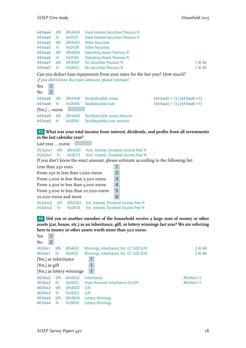| 44:hwa4             | <b>bfh</b> | bfh4404       | <b>Example 1 Fixed Interest Securities Previous Yr</b> |        |
|---------------------|------------|---------------|--------------------------------------------------------|--------|
| 44:hwa4 hl          |            | hlc0107       | <b>Fixed Interest Securities Previous Yr</b>           |        |
| 44:hwa5 bfh         |            | bfh4405       | <b>Other Securities</b>                                |        |
| 44:hwa5 hl          |            | hlc0108       | <b>Other Securities</b>                                |        |
| 44:hwa6 bfh bfh4406 |            |               | <b>Operating Assets Previous Yr</b>                    |        |
| 44:hwa6 hl          |            | $h$ co $104$  | <b>Operating Assets Previous Yr</b>                    |        |
| 44:hwa7             | <b>bfh</b> | bfh4407       | No Securities Previous Yr                              | 1 @ 46 |
| 44:hwa7 hl          |            | $h$ co $0093$ | No Securities Previous Yr                              | l @ 46 |

Can you deduct loan repayments from your taxes for the last year? How much?

*If you don't know the exact amount, please estimate!*

| Yes                   |   |     |               |                              |                                   |
|-----------------------|---|-----|---------------|------------------------------|-----------------------------------|
| No                    | 2 |     |               |                              |                                   |
| 44:hwa8               |   | bfh | bfh4408       | Tax-Deductible Losses        | $(44: hwa5 = 1)$ $(44: hwa6 = 1)$ |
| 44:hwa8               |   | hl  | $h$ coo $94$  | Tax-deductible loan          | $(44: hwa5 = 1)   (44: hwa6 = 1)$ |
| $[Yes, ] \dots$ euros |   |     |               |                              |                                   |
| 44:hwa9               |   | bfh | bfh4409       | Tax-Deductible Losses Amount |                                   |
| 44:hwa9               |   | hl  | $h$ co $0095$ | Tax-deductible loan, amount  |                                   |

#### 45 **What was your total income from interest, dividends, and profits from all investments in the last calendar year?**

```
Last year ... euros
45:hzins1 bfh bfh4501 Amt. Interest, Dividend Income Prev Yr<br>45:hzins1 hl hlc0013 Amt. Interest, Dividend Income Prev Yr
                hlc0013 Amt. Interest, Dividend Income Prev Yr
If you don't know the exact amount, please estimate according to the following list:
Less than 250 euro 1
From 250 to less than 1,000 euros \boxed{2}From 1,000 to less than 2,500 euros 3
From 2,500 to less than 5,000 euros 4
From 5,000 to less than 10,000 euros 5
10,000 euros and more 6
45:hzins2 bfh bfh4502 Est. Interest, Dividend Income Prev Yr
45:hzins2 hl hlc0014 Est. Interest, Dividend Income Prev Yr
```
46 **Did you or another member of the household receive a large sum of money or other assets (car, house, etc.) as an inheritance, gift, or lottery winnings last year? We are referring here to money or other assets worth more than 500 euros.**

| Yes                   | 1                 |     |                            |                                        |                     |  |  |
|-----------------------|-------------------|-----|----------------------------|----------------------------------------|---------------------|--|--|
| No                    | $\overline{2}$    |     |                            |                                        |                     |  |  |
| 46;hlos1              |                   | bfh | bfh4601                    | Winnings, Inheritance, Etc. GT 500 EUR | 2 @ 48              |  |  |
| 46;hlos1              |                   | hl  | hlc0031                    | Winnings, Inheritance, Etc. GT 500 EUR | 2 @ 48              |  |  |
| [Yes,] as inheritance |                   |     |                            |                                        |                     |  |  |
|                       | [Yes,] as $g$ ift |     |                            |                                        |                     |  |  |
|                       |                   |     | [Yes,] as lottery winnings | $\mathbf{1}$                           |                     |  |  |
| 46:hlos2              |                   | bfh | bfh4602                    | Inheritance                            | $46$ ; hlos $1 = 1$ |  |  |
| 46:hlos2              |                   | hl  | $h$ co $032$               | Have Received Inheritance Or Gift      | $46$ ; hlos $1 = 1$ |  |  |
| 46:hlos3              |                   | bfh | bfh4603                    | Gift                                   |                     |  |  |
| 46:hlos3              |                   | hl  | $h$ co $0.33$              | Gift                                   |                     |  |  |
| 46:hlos4              |                   | bfh | bfh4604                    | <b>Lottery Winnings</b>                |                     |  |  |
| 46:hlos4              |                   | hl  | hlc0034                    | Lottery Winnings                       |                     |  |  |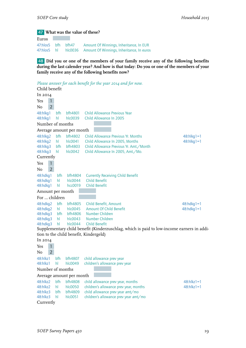### 47 **What was the value of these?**

Euros 47:hlos5 bfh bfh47 Amount Of Winnings, Inheritance, In EUR 47:hlos5 hl hlc0036 Amount Of Winnings, Inheritance, In euros

48 **Did you or one of the members of your family receive any of the following benefits during the last calender year? And how is that today: Do you or one of the members of your family receive any of the following benefits now?**

```
Please answer for each benefit for the year 2014 and for now.
Child benefit
In 2014
Yes 1
No 2
48:hlkg1 bfh bfh4801 Child Allowance Previous Year
48:hlkg1 hl hlc0039 Child Allowance In 2005
Number of months
Average amount per month
48:hlkg2 bfh bfh4802 Child Allowance Previous Yr. Months 48:hlkg1=1
48:hlkg2 hl hlc0041 Child Allowance In 2005, Months 48:hlkg1=1
48:hlkg3 bfh bfh4803 Child Allowance Previous Yr. Amt./Month
48:hlkg3 hl hlc0042 Child Allowance In 2005, Amt./Mo.
Currently
Yes 1
No 2
48:hdkg1 bfh bfh4804 Currently Receiving Child Benefit
48:hdkg1 hl hlc0044 Child Benefit
48:hdkg1 hl hcc0019 Child Benefit
Amount per month
For … children
48:hdkg2 bfh bfh4805 Child Benefit, Amount 48:hdkg1=1
48:hdkg2 hl hlc0045 Amount Of Child Benefit 48:hdkg1=1
48:hdkg3 bfh bfh4806 Number Children
48:hdkg3 hl hlc0043 Number Children
48:hdkg3 hl hlc0044 Child Benefit
Supplementary child benefit (Kinderzuschlag, which is paid to low-income earners in addi-
tion to the child benefit, Kindergeld)
In 2014
Yes 1
No 2
48:hlkz1 bfh bfh4807 child allowance prev year
48:hlkz1 hl hlc0049 children's allowance prev year
Number of months
Average amount per month
48:hlkz2 bfh bfh4808 child allowance prev year, months 48:hlkz1=1
48:hlkz2 hl hlc0050 children's allowance prev year, months 48:hlkz1=1
48:hlkz3 bfh bfh4809 child allowance prev year amt/mo
48:hlkz3 hl hlc0051 children's allowance prev year amt/mo
Currently
```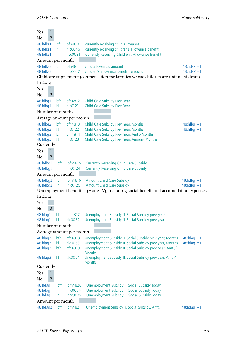| $\mathbf{1}$<br>Yes  |            |                          |                                                                                                         |                   |
|----------------------|------------|--------------------------|---------------------------------------------------------------------------------------------------------|-------------------|
| $\overline{2}$<br>No |            |                          |                                                                                                         |                   |
| 48:hdkz1<br>48:hdkz1 | bfh<br>hI. | bfh4810<br>hlc0046       | currently receiving child allowance<br>currently receiving children's allowance benefit                 |                   |
| 48:hdkz1             | hl         | hcc0021                  | <b>Currently Receiving Children's Allowance Benefit</b>                                                 |                   |
| Amount per month     |            |                          |                                                                                                         |                   |
| 48:hdkz2             | bfh        | bfh4811                  | child allowance, amount                                                                                 | $48$ :hdkz $1=1$  |
| 48:hdkz2             | hl         | hlc0047                  | children's allowance benefit, amount                                                                    | $48: hdkz1 = 1$   |
|                      |            |                          | Childcare supplement (compensation for families whose children are not in childcare)                    |                   |
| In 2014              |            |                          |                                                                                                         |                   |
| 1<br>Yes             |            |                          |                                                                                                         |                   |
| $\overline{2}$<br>No |            |                          |                                                                                                         |                   |
| 48:hlbq1             | bfh        | bfh4812                  | Child Care Subsidy Prev. Year                                                                           |                   |
| 48:hlbg1             | hl         | hlc0121                  | Child Care Subsidy Prev. Year                                                                           |                   |
| Number of months     |            |                          |                                                                                                         |                   |
|                      |            | Average amount per month |                                                                                                         |                   |
| 48:hlbg2             | bfh        | bfh4813                  | Child Care Subsidy Prev. Year, Months                                                                   | $48:h$ lbq $1=1$  |
| 48:hlbg2             | hl         | $h$ col $22$             | Child Care Subsidy Prev. Year, Months                                                                   | $48:h\log 1=1$    |
| 48:hlbq3             | bfh        | bfh4814                  | Child Care Subsidy Prev. Year, Amt./Months                                                              |                   |
| 48:hlbq3             | hl         | $h$ col $23$             | Child Care Subsidy Prev. Year, Amount Months                                                            |                   |
| Currently            |            |                          |                                                                                                         |                   |
| $\mathbf{1}$<br>Yes  |            |                          |                                                                                                         |                   |
| $\overline{2}$<br>No |            |                          |                                                                                                         |                   |
| 48:hdbg1             | bfh        | bfh4815                  | <b>Currently Receiving Child Care Subsidy</b>                                                           |                   |
| 48:hdbg1             | hl         | hlc0124                  | <b>Currently Receiving Child Care Subsidy</b>                                                           |                   |
| Amount per month     |            |                          |                                                                                                         |                   |
| 48:hdbq2             | bfh        | bfh4816                  | <b>Amount Child Care Subsidy</b>                                                                        | $48:hdbg1=1$      |
| 48:hdbg2             | hl         | hlc0125                  | <b>Amount Child Care Subsidy</b>                                                                        | $48:hdbg1=1$      |
| In 2014              |            |                          | Unemployment benefit II (Hartz IV), including social benefit and accomodation expenses                  |                   |
| $\mathbf{1}$         |            |                          |                                                                                                         |                   |
| Yes                  |            |                          |                                                                                                         |                   |
| $\overline{2}$<br>No |            |                          |                                                                                                         |                   |
| 48:hlaq1<br>48:hlag1 | bfh<br>hl  | bfh4817<br>hlc0052       | Unemployment Subsidy II, Social Subsidy prev. year<br>Unemployment Subsidy II, Social Subsidy prev year |                   |
| Number of months     |            |                          |                                                                                                         |                   |
|                      |            | Average amount per month |                                                                                                         |                   |
| 48:hlag2             | bfh        | bfh4818                  | Unemployment Subsidy II, Social Subsidy prev. year, Months                                              | $48:hlag1=1$      |
| 48:hlaq2             | hI         | hlc0053                  | Unemployment Subsidy II, Social Subsidy prev year, Months                                               | $48:h$ lag $1=1$  |
| 48:hlag3             | bfh        | bfh4819                  | Unemployment Subsidy II, Social Subsidy prev. year, Amt./                                               |                   |
| 48:hlaq3             | hl         | hlc0054                  | Months<br>Unemployment Subsidy II, Social Subsidy prev year, Amt./                                      |                   |
| Currently            |            |                          | Months                                                                                                  |                   |
| $\mathbf{1}$<br>Yes  |            |                          |                                                                                                         |                   |
| $\overline{2}$<br>No |            |                          |                                                                                                         |                   |
| 48:hdag1             | bfh        | bfh4820                  | Unemployment Subsidy Ii, Social Subsidy Today                                                           |                   |
| 48:hdag1             | hl         | hlc0064                  | Unemployment Subsidy II, Social Subsidy Today                                                           |                   |
| 48:hdag1             | hl         | hcc0029                  | Unemployment Subsidy II, Social Subsidy Today                                                           |                   |
| Amount per month     |            |                          |                                                                                                         |                   |
| 48:hdag2             | bfh        | bfh4821                  | Unemployment Subsidy Ii, Social Subsidy, Amt.                                                           | $48: h$ dag $1=1$ |
|                      |            |                          |                                                                                                         |                   |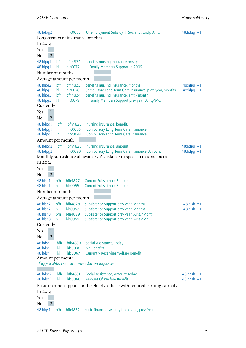48:hdag2 hl hlc0065 Unemployment Subsidy II, Social Subsidy, Amt. 48:hdag1=1 Long-term care insurance benefits In 2014 Yes 1  $No$  2 48:hlpg1 bfh bfh4822 benefits nursing insurance prev. year<br>48:hlpg1 hl hlc0077 Ill Family Members Support In 2005 hl hlc0077 Ill Family Members Support In 2005 Number of months Average amount per month 48:hlpg2 bfh bfh4823 benefits nursing insurance, months 48:hlpg1=1 48:hlpg2 hl hlc0078 Compulsory Long Term Care Insurance, prev. year, Months 48:hlpg1=1 48:hlpg3 bfh bfh4824 benefits nursing insurance, amt./month 48:hlpg3 hl hlc0079 Ill Family Members Support prev year, Amt./Mo. Currently Yes 1 No 2 48:hdpg1 bfh bfh4825 nursing insurance, benefits 48:hdpg1 hl hlc0085 Compulsory Long Term Care Insurance 48:hdpg1 hl hcc0044 Compulsory Long Term Care Insurance Amount per month a ka 48:hdpg2 bfh bfh4826 nursing insurance, amount 48:hdpg1=1<br>48:hdpg2 hl hlc0090 Compulsory Long Term Care Insurance, Amount 48:hdpg1=1 48:hdpq2 hl hlc0090 Compulsory Long Term Care Insurance, Amount Monthly subsistence allowance / Assistance in special circumstances In 2014 Yes 1  $No$  2 48:hlsh1 bfh bfh4827 Current Subsistence Support 48:hlsh1 hl hlc0055 Current Subsistence Support Number of months Average amount per month 48:hlsh2 bfh bfh4828 Subsistence Support prev year, Months 48:hlsh1=1 48:hlsh2 hl hlc0057 Subsistence Support prev year, Months 48:hlsh1=1 48:hlsh3 bfh bfh4829 Subsistence Support prev year, Amt./Month 48:hlsh3 hl hlc0059 Subsistence Support prev year, Amt./Mo. Currently Yes 1  $No$   $2$ 48:hdsh1 bfh bfh4830 Social Assistance, Today 48:hdsh1 hl hlc0038 No Benefits 48:hdsh1 hl hlc0067 Currently Receiving Welfare Benefit Amount per month *If applicable, incl. accommodation expenses* 48:hdsh2 bfh bfh4831 Social Assistance, Amount Today 48:hdsh1=1<br>48:hdsh2 hl hlc0068 Amount Of Welfare Benefit 48:hdsh1=1 48:hdsh2 hl hlc0068 Amount Of Welfare Benefit Basic income support for the elderly / those with reduced earning capacity In 2014 Yes 1 No 2 48:hlgs1 bfh bfh4832 basic financial security in old age, prev. Year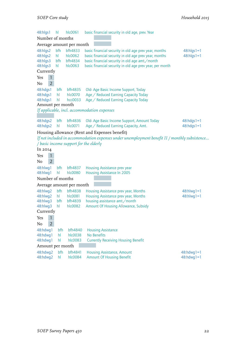| 48:hlgs1  | hl               | hlc0061                                | basic financial security in old age, prev. Year                                                                                                |                  |
|-----------|------------------|----------------------------------------|------------------------------------------------------------------------------------------------------------------------------------------------|------------------|
|           | Number of months |                                        |                                                                                                                                                |                  |
|           |                  | Average amount per month               |                                                                                                                                                |                  |
| 48:hlgs2  | bfh              | bfh4833                                | basic financial security in old age prev year, months                                                                                          | $48: higs1 = 1$  |
| 48:hlqs2  | hl               | hlc0062                                | basic financial security in old age prev year, months                                                                                          | $48: hlgs1 = 1$  |
| 48:hlgs3  | bfh              | bfh4834                                | basic financial security in old age amt./month                                                                                                 |                  |
| 48:hlgs3  | hl               | hlc0063                                | basic financial security in old age prev year, per month                                                                                       |                  |
| Currently |                  |                                        |                                                                                                                                                |                  |
| Yes       | $\mathbf{1}$     |                                        |                                                                                                                                                |                  |
| No        | $\overline{2}$   |                                        |                                                                                                                                                |                  |
| 48:hdgs1  | bfh              | bfh4835                                | Old- Age Basic Income Support, Today                                                                                                           |                  |
| 48:hdgs1  | hl               | hlc0070                                | Age / Reduced Earning Capacity Today                                                                                                           |                  |
| 48:hdgs1  | hl               | hcc0033                                | Age / Reduced Earning Capacity Today                                                                                                           |                  |
|           | Amount per month |                                        |                                                                                                                                                |                  |
|           |                  |                                        | If applicable, incl. accommodation expenses                                                                                                    |                  |
| 48:hdgs2  | bfh              | bfh4836                                | Old- Age Basic Income Support, Amount Today                                                                                                    | $48:hdqs1=1$     |
| 48:hdgs2  | hl               | hlc0071                                | Age / Reduced Earning Capacity, Amt.                                                                                                           | $48:hdgs1=1$     |
|           |                  |                                        |                                                                                                                                                |                  |
|           |                  |                                        | Housing allowance (Rent and Expenses benefit)<br>If not included in accommodation expenses under unemployment benefit II / monthly subsistence |                  |
|           |                  | / basic income support for the elderly |                                                                                                                                                |                  |
| In 2014   |                  |                                        |                                                                                                                                                |                  |
| Yes       | $\mathbf{1}$     |                                        |                                                                                                                                                |                  |
| No        | $\overline{2}$   |                                        |                                                                                                                                                |                  |
| 48:hlwq1  | bfh              | bfh4837                                | Housing Assistance prev year                                                                                                                   |                  |
| 48:hlwg1  | hl               | hlc0080                                | Housing Assistance In 2005                                                                                                                     |                  |
|           | Number of months |                                        |                                                                                                                                                |                  |
|           |                  | Average amount per month               |                                                                                                                                                |                  |
| 48:hlwq2  | bfh              | <b>bfh4838</b>                         | Housing Assistance prev year, Months                                                                                                           | $48:$ hlwg $1=1$ |
| 48:hlwq2  | hl               | hlc0081                                | Housing Assistance prev year, Months                                                                                                           | $48:$ hlwg $1=1$ |
| 48:hlwg3  | bfh              | bfh4839                                | housing assistance amt./month                                                                                                                  |                  |
| 48:hlwg3  | hI.              | hlc0082                                | <b>Amount Of Housing Allowance, Subsidy</b>                                                                                                    |                  |
| Currently |                  |                                        |                                                                                                                                                |                  |
| Yes       | 1                |                                        |                                                                                                                                                |                  |
| No        | $\overline{2}$   |                                        |                                                                                                                                                |                  |
| 48:hdwg1  | bfh              | bfh4840                                | <b>Housing Assistance</b>                                                                                                                      |                  |
| 48:hdwg1  | hl               | hlc0038                                | No Benefits                                                                                                                                    |                  |
| 48:hdwg1  | hl               | hlc0083                                | <b>Currently Receiving Housing Benefit</b>                                                                                                     |                  |
|           | Amount per month |                                        |                                                                                                                                                |                  |
| 48:hdwg2  | bfh              | bfh4841                                | Housing Assistance, Amount                                                                                                                     | $48:$ hdwg $1=1$ |
| 48:hdwg2  | hl               | hlc0084                                | <b>Amount Of Housing Benefit</b>                                                                                                               | $48:$ hdwg $1=1$ |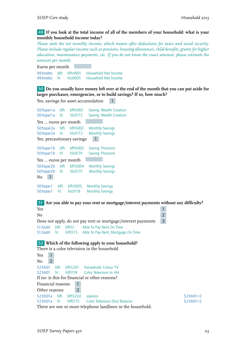#### 49 **If you look at the total income of all of the members of your household: what is your monthly household income today?**

*Please state the net monthly income, which means after deductions for taxes and social security. Please include regular income such as pensions, housing allowances, child benefits, grants for higher education, maintenance payments, etc. If you do not know the exact amount, please estimate the amount per month.*

Euros per month 49:hnetto bfh bfh4901 Household Net Income 49:hnetto hl hlc0005 Household Net Income

Yes, savings for asset accumulation 1

50 **Do you usually have money left over at the end of the month that you can put aside for larger purchases, emergencies, or to build savings? If so, how much?**

```
50:hspar1a bfh bfh5001 Saving: Wealth Creation
50:hspar1a hl hlc0172 Saving: Wealth Creation
Yes … euros per month
50:hspar2a bfh bfh5002 Monthly Savings
50:hspar2a hl
Yes, precautionary savings 1
50:hspar1b bfh bfh5003 Saving: Provision
50:hspar1b hl hlc0174 Saving: Provision
Yes … euros per month
50:hspar2b bfh bfh5004 Monthly Savings
50:hspar2b hl hlc0175 Monthly Savings
No 1
50:hspar1 bfh bfh5005 Monthly Savings
50:hspar1 hl hlc0119 Monthly Savings
51 Are you able to pay your rent or mortgage/interest payments without any difficulty?
The Second Second Second Second Second Second Second Second Second Second Second Second Second Second Second Second Second Second Second Second Second Second Second Second Second Second Second Second Second Second Second 
No 2
Does not apply, do not pay rent or mortgage/interest payments 3
51;hzahl bfh bfh51 Able To Pay Rent On Time
51;hzahl hl hlf0173 Able To Pay Rent, Mortgage On Time
52 Which of the following apply to your household?
There is a color television in the household
Yes 1
No 2
52:hh01 bfh bfh5201 Household: Colour TV
52:hh01 hl hlf0174 Color Television In HH
If no: is this for financial or other reasons?
Financial reasons 1
Other reasons 2
```
52:hh01a bfh bfh5202 reasons 52:hh01=2 52:hh01a hl hlf0175 Color Television (No) Reasons 52:hh01=2

There are one or more telephone landlines in the household.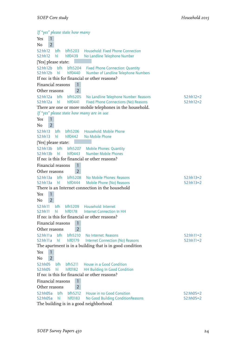*If "yes" please state how many* Yes 1  $N_0$   $\overline{2}$ 52:hh12 bfh bfh5203 Household: Fixed Phone Connection 52:hh12 hl hlf0439 No Landline Telephone Number [Yes] please state: 52:hh12b bfh bfh5204 Fixed Phone Connection: Quantity 52:hh12b hl hlf0440 Number of Landline Telephone Numbers If no: is this for financial or other reasons? Financial reasons 1 Other reasons 2 52:hh12a bfh bfh5205 No Landline Telephone Number: Reasons 52:hh12=2<br>52:hh12a hl hlf0441 Fixed Phone Connections (No) Reasons 52:hh12=2 hlf0441 Fixed Phone Connections (No) Reasons 52:hh12=2 There are one or more mobile telephones in the household. *If "yes" please state how many are in use* Yes 1  $No$  2 52:hh13 bfh bfh5206 Household: Mobile Phone<br>52:hh13 hl hlf0442 No Mobile Phone hlf0442 No Mobile Phone [Yes] please state: 52:hh13b bfh bfh5207 Mobile Phones: Quantity<br>52:hh13b hl hlf0443 Number Mobile Phones 52:hh13b hl hlf0443 Number Mobile Phones If no: is this for financial or other reasons? Financial reasons 1 Other reasons 2 52:hh13a bfh bfh5208 No Mobile Phones: Reasons 52:hh13=2 52:hh13a hl hlf0444 Mobile Phone (No) Reasons 52:hh13=2 There is an Internet connection in the household Yes 1  $No$  2 52:hh11 bfh bfh5209 Household: Internet 52:hh11 hl hlf0178 Internet Connection In HH If no: is this for financial or other reasons? Financial reasons 1 Other reasons 2 52:hh11a bfh bfh5210 No Internet: Reasons 52:hh11=2 52:hh11a hl hlf0179 Internet Connection (No) Reasons 52:hh11=2 The apartment is in a building that is in good condition Yes 1  $No$  2 52:hh05 bfh bfh5211 House in a Good Condition 52:hh05 hl hlf0182 HH Building In Good Condition If no: is this for financial or other reasons? Financial reasons 1 Other reasons 2 52:hh05a bfh bfh5212 House in no Good Consition 52:hh05=2 52:hh05=2 52:hh05a hl hlf0183 No Good Building ConditionReasons 52:hh05=2 The building is in a good neighborhood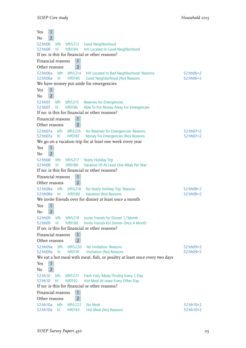| Yes<br>$\mathbf{1}$                                                                                                                                                                  |                            |
|--------------------------------------------------------------------------------------------------------------------------------------------------------------------------------------|----------------------------|
| $\overline{2}$<br>No                                                                                                                                                                 |                            |
| 52:hh06<br>bfh<br>bfh5213<br>Good Neighborhood<br>52:hh06<br>hlf0184<br>HH Located In Good Neighborhood<br>hl                                                                        |                            |
| If no: is this for financial or other reasons?                                                                                                                                       |                            |
| $\mathbf{1}$<br>Financial reasons                                                                                                                                                    |                            |
| $\overline{2}$<br>Other reasons                                                                                                                                                      |                            |
| 52:hh06a<br>bfh<br>bfh5214<br>HH Located In Bad Neighborhood: Reasons<br>hlf0185<br>52:hh06a<br>hl<br>Good Neighborhood (No) Reasons                                                 | $52:hh06=2$<br>$52:hh06=2$ |
| We have money put aside for emergencies                                                                                                                                              |                            |
| $\mathbf{1}$<br>Yes                                                                                                                                                                  |                            |
| $\overline{2}$<br>No                                                                                                                                                                 |                            |
| 52:hh07<br>bfh<br><b>Reserves for Emergencies</b><br>bfh5215<br>52:hh07<br>hl<br>hlf0186<br>Able To Put Money Away For Emergencies<br>If no: is this for financial or other reasons? |                            |
| Financial reasons<br>$\mathbf{1}$                                                                                                                                                    |                            |
| $\overline{2}$<br>Other reasons                                                                                                                                                      |                            |
| 52:hh07a<br>bfh<br>bfh5216<br>No Reserves for Emergencies: Reasons                                                                                                                   | $52:hh07=2$                |
| hlf0187<br>Money For Emergencies (No) Reasons<br>52:hh07a<br>hl                                                                                                                      | $52:hh07=2$                |
| We go on a vacation trip for at least one week every year                                                                                                                            |                            |
| $\mathbf{1}$<br>Yes                                                                                                                                                                  |                            |
| $\overline{2}$<br>No                                                                                                                                                                 |                            |
| 52:hh08<br>bfh<br>bfh5217<br><b>Yearly Holiday Trip</b><br>Vacation Of At Least One Week Per Year<br>52:hh08<br>hl<br>hlf0188                                                        |                            |
| If no: is this for financial or other reasons?                                                                                                                                       |                            |
| Financial reasons<br>$\mathbf{1}$                                                                                                                                                    |                            |
| $\overline{2}$<br>Other reasons                                                                                                                                                      |                            |
| 52:hh08a<br>bfh<br>bfh5218<br>No Yearly Holiday Trip: Reasons<br>52:hh08a<br>hlf0189                                                                                                 | $52:hh08=2$<br>52:hh08=2   |
| hl<br>Vacation (No) Reasons<br>We invite friends over for dinner at least once a month                                                                                               |                            |
| $\mathbf{1}$<br>Yes                                                                                                                                                                  |                            |
| $\overline{2}$<br>No                                                                                                                                                                 |                            |
| 52:hh09<br>bfh<br>bfh5219<br>Invite Friends for Dinner 1/Month                                                                                                                       |                            |
| Invite Friends For Dinner Once A Month<br>52:hh09<br>hl<br>hlf0190                                                                                                                   |                            |
| If no: is this for financial or other reasons?                                                                                                                                       |                            |
| $\mathbf{1}$<br>Financial reasons                                                                                                                                                    |                            |
| $\overline{2}$<br>Other reasons                                                                                                                                                      |                            |
| bfh<br>bfh5220<br>52:hh09a<br>No Invitation: Reasons                                                                                                                                 | $52:hh09=2$                |
| 52:hh09a<br>hl<br>hlf0191<br><b>Invitation (No) Reasons</b><br>We eat a hot meal with meat, fish, or poultry at least once every two days                                            | $52:hh09=2$                |
| $\mathbf{1}$<br>Yes                                                                                                                                                                  |                            |
| $\overline{2}$<br>No                                                                                                                                                                 |                            |
| bfh<br>52:hh10<br>Fresh Fish/Meat/Poultry Every 2 Day<br>bfh5221                                                                                                                     |                            |
| 52:hh10<br>hl<br>hlf0192<br>Hot Meal At Least Every Other Day                                                                                                                        |                            |
| If no: is this for financial or other reasons?                                                                                                                                       |                            |
| $\mathbf{1}$<br>Financial reasons                                                                                                                                                    |                            |
| $\overline{2}$<br>Other reasons                                                                                                                                                      |                            |
| 52:hh10a<br>bfh<br>bfh5222<br>No Meat                                                                                                                                                | $52:hh10=2$                |
| 52:hh10a<br>hlf0193<br>Hot Meal (No) Reasons<br>hl                                                                                                                                   | $52:hh10=2$                |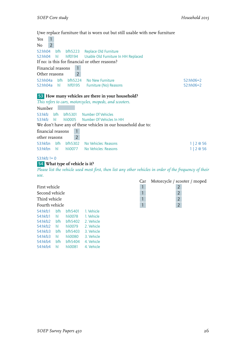# I/we replace furniture that is worn out but still usable with new furniture

|                      |            |                                | T/we replace furniture that is worn out but still usable with new furniture |               |                                                                                                          |
|----------------------|------------|--------------------------------|-----------------------------------------------------------------------------|---------------|----------------------------------------------------------------------------------------------------------|
| 1<br>Yes             |            |                                |                                                                             |               |                                                                                                          |
| $\overline{2}$<br>No |            |                                |                                                                             |               |                                                                                                          |
| 52:hh04              | bfh        | bfb5223                        | Replace Old Furniture                                                       |               |                                                                                                          |
| 52:hh04              | h          | hlf0194                        | Usable Old Furniture In HH Replaced                                         |               |                                                                                                          |
|                      |            |                                | If no: is this for financial or other reasons?                              |               |                                                                                                          |
| Financial reasons    |            | $\mathbf{1}$                   |                                                                             |               |                                                                                                          |
| Other reasons        |            | $\overline{2}$                 |                                                                             |               |                                                                                                          |
| 52:hh04a             | bfh        | bfh5224                        | No New Furniture                                                            |               | $52:hh06=2$                                                                                              |
| 52:hh04a             | hL         | hlf0195                        | Furniture (No) Reasons                                                      |               | 52:hh06=2                                                                                                |
|                      |            |                                |                                                                             |               |                                                                                                          |
|                      |            |                                | 53 How many vehicles are there in your household?                           |               |                                                                                                          |
|                      |            |                                | This refers to cars, motorcycles, mopeds, and scooters.                     |               |                                                                                                          |
| Number               |            |                                |                                                                             |               |                                                                                                          |
| 53:hkfz              | bfh        | bfh5301                        | Number Of Vehicles                                                          |               |                                                                                                          |
| 53:hkfz              | hl         | hli0005                        | Number Of Vehicles In HH                                                    |               |                                                                                                          |
|                      |            |                                | We don't have any of these vehicles in our household due to:                |               |                                                                                                          |
| financial reasons    |            | $\mathbf{1}$                   |                                                                             |               |                                                                                                          |
|                      |            |                                |                                                                             |               |                                                                                                          |
| other reasons        |            | $\overline{2}$                 |                                                                             |               |                                                                                                          |
| 53:hkfzn             | bfh        | bfh5302                        | No Vehicles: Reasons                                                        |               | $1 \mid 2 \otimes 56$                                                                                    |
| 53:hkfzn             | hl         | hli0077                        | No Vehicles: Reasons                                                        |               | $1 \mid 2 \otimes 56$                                                                                    |
| 53:hkfz $!= 0$       |            |                                |                                                                             |               |                                                                                                          |
|                      |            | 54 What type of vehicle is it? |                                                                             |               |                                                                                                          |
|                      |            |                                |                                                                             |               | Please list the vehicle used most first, then list any other vehicles in order of the frequency of their |
| use.                 |            |                                |                                                                             |               |                                                                                                          |
|                      |            |                                |                                                                             | Car           | Motorcycle / scooter / moped                                                                             |
| First vehicle        |            |                                |                                                                             | $\mathbf{1}$  | $\overline{2}$                                                                                           |
| Second vehicle       |            |                                |                                                                             | $\mathbf{1}$  | $\overline{2}$                                                                                           |
|                      |            |                                |                                                                             |               | $\overline{2}$                                                                                           |
| Third vehicle        |            |                                |                                                                             | $\mathbbm{1}$ |                                                                                                          |
| Fourth vehicle       |            |                                |                                                                             | $\mathbf{1}$  | $\overline{2}$                                                                                           |
| 54:hkfz1             | bfh        | bfh5401                        | 1. Vehicle                                                                  |               |                                                                                                          |
| 54:hkfz1             | hl         | hli0078                        | 1. Vehicle                                                                  |               |                                                                                                          |
| 54:hkfz2<br>54:hkfz2 | bfh<br>hI. | bfh5402<br>hli0079             | 2. Vehicle<br>2. Vehicle                                                    |               |                                                                                                          |
| 54:hkfz3             | bfh        | bfh5403                        | 3. Vehicle                                                                  |               |                                                                                                          |
| 54:hkfz3             | hl         | hli0080                        | 3. Vehicle                                                                  |               |                                                                                                          |
|                      |            |                                |                                                                             |               |                                                                                                          |

54:hkfz4 bfh bfh5404 4. Vehicle 54:hkfz4 hl hli0081 4. Vehicle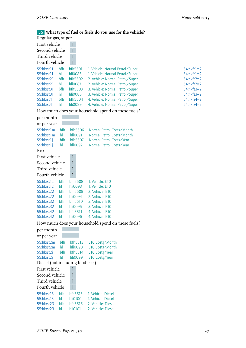# 55 **What type of fuel or fuels do you use for the vehicle?**

| Regular gas, super            |     |                |                                 |                 |
|-------------------------------|-----|----------------|---------------------------------|-----------------|
| First vehicle<br>$\mathbf{1}$ |     |                |                                 |                 |
| Second vehicle                |     | 1              |                                 |                 |
| Third vehicle                 |     | $\mathbf{1}$   |                                 |                 |
| Fourth vehicle                |     | $\mathbf{1}$   |                                 |                 |
| 55:hkrst11                    | bfh | bfh5501        | 1. Vehicle: Normal Petrol/Super | $54: hkfz1 = 2$ |
| 55:hkrst11                    | hl  | hli0086        | 1. Vehicle: Normal Petrol/Super | $54: hkfz1 = 2$ |
| 55:hkrst21                    | bfh | bfh5502        | 2. Vehicle: Normal Petrol/Super | $54: hkfz2 = 2$ |
| 55:hkrst21                    | hl  | hli0087        | 2. Vehicle: Normal Petrol/Super | $54: hkfz2 = 2$ |
| 55:hkrst31                    | bfh | <b>bfh5503</b> | 3. Vehicle: Normal Petrol/Super | $54: hkfz3 = 2$ |
| 55:hkrst31                    | hl  | hli0088        | 3. Vehicle: Normal Petrol/Super | $54: hkfz3 = 2$ |
| 55:hkrst41                    | bfh | bfh5504        | 4. Vehicle: Normal Petrol/Super | $54: hkfz4=2$   |
| 55:hkrst41                    | hl  | hli0089        | 4. Vehicle: Normal Petrol/Super | $54: hkfz4=2$   |
|                               |     |                |                                 |                 |

| 54:hktz I = 2 |
|---------------|
| 54:hkfz1=2    |
| 54:hkfz2=2    |
| 54:hkfz2=2    |
| 54:hkfz3=2    |
| 54:hkfz3=2    |
| 54:hkfz4=2    |
| F A.L.L.L.A.  |

How much does your household spend on these fuels?

| per month      |      |              |                                                    |
|----------------|------|--------------|----------------------------------------------------|
| or per year    |      |              |                                                    |
| 55:hkrst1m     | bfh  | bfh5506      | Normal Petrol Costs/Month                          |
| 55:hkrst1m     | hl   | hli0091      | Normal Petrol Costs/Month                          |
| 55:hkrst1j     | bfh  | bfh5507      | Normal Petrol Costs/Year                           |
| 55:hkrst1j     | hl   | hli0092      | Normal Petrol Costs/Year                           |
| Eto            |      |              |                                                    |
| First vehicle  |      | 1            |                                                    |
| Second vehicle |      | $\mathbf{1}$ |                                                    |
| Third vehicle  |      | 1            |                                                    |
| Fourth vehicle |      | 1            |                                                    |
| 55:hkrst12     | bfh  | bfh5508      | 1. Vehicle: E10                                    |
| 55:hkrst12     | hI.  | hli0093      | 1. Vehicle: E10                                    |
| 55:hkrst22     | bfh  | bfh5509      | 2. Vehicle: E10                                    |
| 55:hkrst22     | hl — | hli0094      | 2. Vehicle: E10                                    |
| 55:hkrst32     | bfh  | bfh5510      | 3. Vehicle: E10                                    |
| 55:hkrst32     | hl   | hli0095      | 3. Vehicle: E10                                    |
| 55:hkrst42     | bfh  | bfh5511      | 4. Vehicel: E10                                    |
| 55:hkrst42     | hl   | hli0096      | 4. Vehicel: E10                                    |
|                |      |              | How much does your household spend on these fuels? |
| per month      |      |              |                                                    |
| or per year    |      |              |                                                    |
| 55:hkrst2m     | bfh  | bfh5513      | E10 Costs/Month                                    |
| 55:hkrst2m     | hl   | hli0098      | E10 Costs/Month                                    |
| 55:hkrst2j     | bfh  | bfh5514      | E10 Costs/Year                                     |
| 55:hkrst2j     | hl   | hli0099      | E10 Costs/Year                                     |

*SOEP Survey Papers 450* 27

Diesel (not including biodiesel)

55:hkrst13 bfh bfh5515 1. Vehicle: Diesel 55:hkrst13 hl hli0100 1. Vehicle: Diesel 55:hkrst23 bfh bfh5516 2. Vehicle: Diesel 55:hkrst23 hl hli0101 2. Vehicle: Diesel

First vehicle 1 Second vehicle 1 Third vehicle 1 Fourth vehicle 1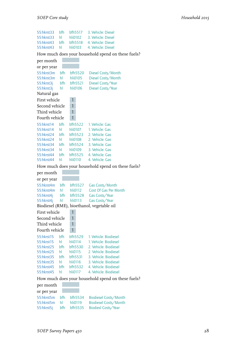```
55:hkrst33 bfh bfh5517 3. Vehicle: Diesel
55:hkrst33 hl hli0102
55:hkrst43 bfh bfh5518 4. Vehicle: Diesel
55:hkrst43 hl hli0103 4. Vehicle: Diesel
How much does your household spend on these fuels?
per month
or per year
55:hkrst3m bfh bfh5520 Diesel Costs/Month
55:hkrst3m hl hli0105 Diesel Costs/Month
55:hkrst3j bfh bfh5521 Diesel Costs/Year
55:hkrst3j hl hli0106 Diesel Costs/Year
Natural gas
First vehicle 1
Second vehicle 1
Third vehicle 1
Fourth vehicle 1
55:hkrst14 bfh bfh5522 1. Vehicle: Gas
55:hkrst14 hl hli0107 1. Vehicle: Gas
55:hkrst24 bfh bfh5523 2. Vehicle: Gas
55:hkrst24 hl hli0108 2. Vehicle: Gas
55:hkrst34 bfh bfh5524 3. Vehicle: Gas
55:hkrst34 hl hli0109 3. Vehicle: Gas
55:hkrst44 bfh bfh5525 4. Vehicle: Gas
55:hkrst44 hl hli0110 4. Vehicle: Gas
How much does your household spend on these fuels?
per month
or per year
55:hkrst4m bfh bfh5527 Gas Costs/Month
55:hkrst4m hl hli0112 Cost Of Gas Per Month
55:hkrst4j bfh bfh5528 Gas Costs/Year
55:hkrst4j hl hli0113 Gas Costs/Year
Biodiesel (RME), bioethanol, vegetable oil
First vehicle 1
Second vehicle 1
Third vehicle 1
Fourth vehicle 1
55:hkrst15 bfh bfh5529 1. Vehicle: Biodiesel
                hli0114 1. Vehicle: Biodiesel
55:hkrst25 bfh bfh5530 2. Vehicle: Biodiesel
55:hkrst25 hl hli0115 2. Vehicle: Biodiesel<br>55:hkrst35 bfh bfh5531 3. Vehicle: Biodiesel
55:hkrst35 bfh bfh5531
55:hkrst35 hl hli0116 3. Vehicle: Biodiesel
55:hkrst45 bfh bfh5532 4. Vehicle: Biodiesel
55:hkrst45 hl hli0117 4. Vehicle: Biodiesel
How much does your household spend on these fuels?
per month
or per year
55:hkrst5m bfh bfh5534 Biodiesel Costs/Month
55:hkrst5m hl hli0119 Biodiesel Costs/Month
```
55:hkrst5j bfh bfh5535 Biodiesl Costs/Year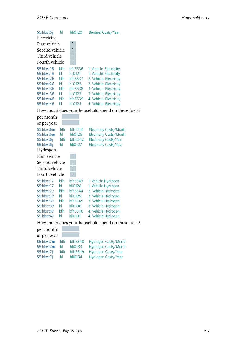| 55:hkrst5j<br>Electricity | hl  | hli0120 | Biodiesl Costs/Year                                |
|---------------------------|-----|---------|----------------------------------------------------|
|                           |     |         |                                                    |
| First vehicle             |     | 1       |                                                    |
| Second vehicle            |     | 1       |                                                    |
| Third vehicle             |     | 1       |                                                    |
| Fourth vehicle            |     | 1       |                                                    |
| 55:hkrst16                | bfh | bfh5536 | 1. Vehicle: Electricity                            |
| 55:hkrst16                | hl  | hli0121 | 1. Vehicle: Electricity                            |
| 55:hkrst26                | bfh | bfh5537 | 2. Vehicle: Electricity                            |
| 55:hkrst26                | hl  | hli0122 | 2. Vehicle: Electricity                            |
| 55:hkrst36                | bfh | bfh5538 | 3. Vehicle: Electricity                            |
| 55:hkrst36                | hl  | hli0123 | 3. Vehicle: Electricity                            |
| 55:hkrst46                | bfh | bfh5539 | 4. Vehicle: Electricity                            |
| 55:hkrst46                | hl  | hli0124 | 4. Vehicle: Electricity                            |
|                           |     |         | How much does your household spend on these fuels? |
| per month                 |     |         |                                                    |
| or per year               |     |         |                                                    |
| 55:hkrst6m                | hfh | bfh5541 | Electricity Costs/Month                            |
| 55:hkrst6m                | hl  | hli0126 | Electricity Costs/Month                            |
| 55:hkrst6j                | bfh | bfh5542 | Electricity Costs/Year                             |
| 55:hkrst6j                | hl  | hli0127 | Electricity Costs/Year                             |
| Hydrogen                  |     |         |                                                    |
| First vehicle             |     | 1       |                                                    |
| Second vehicle            |     | 1       |                                                    |
| Third vehicle             |     | 1       |                                                    |
| Fourth vehicle            |     | 1       |                                                    |
| 55:hkrst17                | bfh | bfh5543 | 1. Vehicle Hydrogen                                |
| 55:hkrst17                | hl  | hli0128 | 1. Vehicle Hydrogen                                |
| 55:hkrst27                | bfh | bfh5544 | 2. Vehicle Hydrogen                                |
| 55:hkrst27                | hl  | hli0129 | 2. Vehicle Hydrogen                                |
| 55:hkrst37                | bfh | bfh5545 | 3. Vehicle Hydrogen                                |
| 55:hkrst37                | hl  | hli0130 | 3. Vehicle Hydrogen                                |
| 55:hkrst47                | bfh | bfh5546 | 4. Vehicle Hydrogen                                |
| 55:hkrst47                | hl  | hli0131 | 4. Vehicle Hydrogen                                |
|                           |     |         | How much does your household spend on these fuels? |
| per month                 |     |         |                                                    |
| or per year               |     |         |                                                    |
| 55:hkrst7m                | bfh | bfh5548 | Hydrogen Costs/Month                               |
| 55:hkrst7m                | hl  | hli0133 | Hydrogen Costs/Month                               |

55:hkrst7j bfh bfh5549 Hydrogen Costs/Year 55:hkrst7j hl hli0134 Hydrogen Costs/Year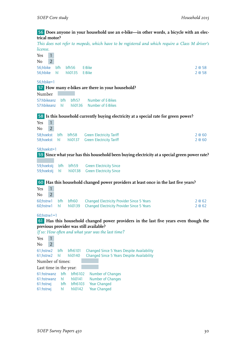#### 56 **Does anyone in your household use an e-bike—in other words, a bicycle with an electrical motor?**

*This does not refer to mopeds, which have to be registered and which require a Class M driver's license.*

Yes 1  $No$  2 56;hbike bfh bfh56 E-Bike 2 @ 58 56;hbike hl hli0135 E-Bike 2 @ 58 56;hbike=1 57 **How many e-bikes are there in your household?** Number 57:hbikeanz bfh bfh57 Number of E-Bikes 57:hbikeanz hl hli0136 Number of E-Bikes 58 **Is this household currently buying electricity at a special rate for green power?** Yes 1  $No$  2 58;hoekst bfh bfh58 Green Electricity Tariff 2 2 © 60 58;hoekst hl hli0137 Green Electricity Tariff 2 2 60 58;hoekst=1 59 **Since what year has this household been buying electricity at a special green power rate?** 59;hoekstj bfh bfh59 Green Electricity Since 59;hoekstj hl hli0138 Green Electricity Since 60 **Has this household changed power providers at least once in the last five years?** Yes 1  $No$  2 60;hstrw1 bfh bfh60 Changed Electricity Provider Since 5 Years 2 @ 62<br>60:hstrw1 hl hli0139 Changed Electricity Provider Since 5 Years 2 @ 62 60;hstrw1 hl hli0139 Changed Electricity Provider Since 5 Years 60;hstrw1=1 61 **Has this household changed power providers in the last five years even though the previous provider was still available?** *If so: How often and what year was the last time?* Yes 1 No 2 61;hstrw2 bfh bfh6101 Changed Since 5 Years Despite Availability 61;hstrw2 hl hli0140 Changed Since 5 Years Despite Availability Number of times: Last time in the year: 61:hstrwanz bfh bfh6102 Number of Changes<br>61:hstrwanz hl hli0141 Number of Changes 61:hstrwanz hl hli0141 61:hstrwj bfh bfh6103 Year Changed 61:hstrwj hl hli0142 Year Changed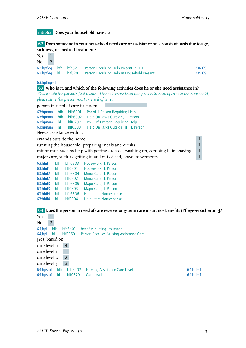#### intro62 **Does your household have ...?**

#### 62 **Does someone in your household need care or assistance on a constant basis due to age, sickness, or medical treatment?**

| Yes          |  |                     |                                                    |        |
|--------------|--|---------------------|----------------------------------------------------|--------|
| No           |  |                     |                                                    |        |
|              |  | 62;hpfleg bfh bfh62 | Person Requiring Help Present In HH                | 2 @ 69 |
| 62;hpfleg hl |  |                     | hlf0291 Person Requiring Help In Household Present | 2 @ 69 |

#### 63;hpfleg=1

#### 63 **Who is it, and which of the following activities does he or she need assistance in?**

*Please state the person's first name. If there is more than one person in need of care in the household, please state the person most in need of care.*

person in need of care first name

|                       |  |         | 63:hpnam bfh bfh6301 Pnr of 1. Person Requiring Help |  |  |
|-----------------------|--|---------|------------------------------------------------------|--|--|
| 63:hpnam bfh          |  | bfh6302 | Help On Tasks Outside, 1. Person                     |  |  |
| 63:hpnam hl           |  | hlf0292 | PNR Of 1. Person Requiring Help                      |  |  |
| 63:hpnam hl hlf0300   |  |         | Help On Tasks Outside HH, 1. Person                  |  |  |
| Needs assistance with |  |         |                                                      |  |  |

errands outside the home<br>
1 The magnetic state is a preparing meals and drinks<br>
1 1 running the household, preparing meals and drinks 1

minor care, such as help with getting dressed, washing up, combing hair, shaving 1 major care, such as getting in and out of bed, bowel movements 1

| 63:hhil1 | hfh | bfh6303 | Housework, 1. Person   |
|----------|-----|---------|------------------------|
| 63:hhil1 | hl  | hlf0301 | Housework, 1. Person   |
| 63:hhil2 | hfh | bfh6304 | Minor Care, 1. Person  |
| 63:hhil2 | hl  | hlf0302 | Minor Care, 1. Person  |
| 63:hhil3 | hfh | bfh6305 | Major Care, 1. Person  |
| 63:hhil3 | hl  | hlf0303 | Major Care, 1. Person  |
| 63:hhil4 | hfh | bfh6306 | Help, Item Nonresponse |
| 63:hhil4 | hl  | hlf0304 | Help, Item Nonresponse |
|          |     |         |                        |

# 64 **Does the person in need of care receive long-term care insurance benefits (Pflegeversicherung)?**

| Yes             |                |                |                |                                         |             |
|-----------------|----------------|----------------|----------------|-----------------------------------------|-------------|
| No              | $\overline{2}$ |                |                |                                         |             |
| 64;hpl          | bfh            |                | bfh6401        | benefits nursing insurance              |             |
| 64;hpl          | hl             |                | $h$ $f$ $0369$ | Person Receives Nursing Assistance Care |             |
| [Yes] based on: |                |                |                |                                         |             |
| care level o    |                | $\overline{4}$ |                |                                         |             |
| care level 1    |                |                |                |                                         |             |
| care level 2    |                | $\overline{2}$ |                |                                         |             |
| care level 3    |                | 3              |                |                                         |             |
| 64:hpstuf       | bfh            |                | bfh6402        | <b>Nursing Assistance Care Level</b>    | $64$ ;hpl=1 |
| 64:hpstuf       | - hl           |                | hlf0370        | Care Level                              | $64$ ;hpl=1 |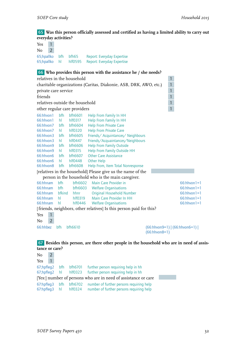65 **Was this person officially assessed and certified as having a limited ability to carry out everyday activities?**

| Yes            | $\mathbf{1}$   |                      |                                 |                                                                                           |                 |                                   |  |
|----------------|----------------|----------------------|---------------------------------|-------------------------------------------------------------------------------------------|-----------------|-----------------------------------|--|
| No             | $\overline{2}$ |                      |                                 |                                                                                           |                 |                                   |  |
| 65;hpallko     |                | bfh                  | bfh65                           | Report: Everyday Expertise                                                                |                 |                                   |  |
| 65;hpallko     |                | hl                   | hlf0595                         | Report: Everyday Expertise                                                                |                 |                                   |  |
|                |                |                      |                                 |                                                                                           |                 |                                   |  |
|                |                |                      |                                 | 66 Who provides this person with the assistance he / she needs?                           |                 |                                   |  |
|                |                |                      | relatives in the household      |                                                                                           |                 | $\mathbf{1}$                      |  |
|                |                |                      |                                 | charitable organizations (Caritas, Diakonie, ASB, DRK, AWO, etc.)                         |                 | $\mathbf{1}$                      |  |
|                |                | private care service |                                 |                                                                                           |                 | 1                                 |  |
| friends        |                |                      |                                 |                                                                                           |                 | 1                                 |  |
|                |                |                      | relatives outside the household |                                                                                           |                 | $\mathbf{1}$                      |  |
|                |                |                      | other regular care providers    |                                                                                           |                 | $\mathbf{1}$                      |  |
| 66:hhvon1      |                | bfh                  | bfh6601                         |                                                                                           |                 |                                   |  |
| 66:hhvon1      |                | hl                   | $h$ $f$ $0317$                  | Help From Family In HH<br>Help From Family In HH                                          |                 |                                   |  |
| 66:hhvon7      |                | bfh                  | bfh6604                         | <b>Help From Private Care</b>                                                             |                 |                                   |  |
| 66:hhvon7      |                | hL                   | hlf0320                         | <b>Help From Private Care</b>                                                             |                 |                                   |  |
| 66:hhvon3      |                | bfh                  | bfh6605                         | Friends/Acquintances/Neighbours                                                           |                 |                                   |  |
| 66:hhvon3      |                | hI.                  | hlf0447                         | Friends/Acquaintances/Neighbours                                                          |                 |                                   |  |
| 66:hhvon9      |                | bfh                  | bfh6606                         | <b>Help From Family Outside</b>                                                           |                 |                                   |  |
| 66:hhvon9      |                | hL                   | $h$ $f$ $0315$                  | <b>Help From Family Outside HH</b>                                                        |                 |                                   |  |
| 66:hhvon6      |                | bfh                  | bfh6607                         | <b>Other Care Assistance</b>                                                              |                 |                                   |  |
| 66:hhvon6      |                | hI                   | hlf0448                         | <b>Other Help</b>                                                                         |                 |                                   |  |
| 66:hhvon8      |                | bfh                  | bfh6608                         | Help From, Item Total Nonresponse                                                         |                 |                                   |  |
|                |                |                      |                                 | [relatives in the household] Please give us the name of the                               |                 |                                   |  |
|                |                |                      |                                 | person in the household who is the main caregiver.                                        |                 |                                   |  |
| 66:hhnam       |                | bfh                  | bfh6602                         | Main Care Provider in                                                                     |                 | $66:hhvon1=1$                     |  |
| 66:hhnam       |                | bfh                  | bfh6603                         | <b>Welfare Organisations</b>                                                              |                 | $66:hh$ von $1=1$                 |  |
| 66:hhnam       |                | bfkind               | hhnr                            | <b>Original Household Number</b>                                                          |                 | $66:$ hhvon $1=1$                 |  |
| 66:hhnam       |                | hl                   | $h$ $f$ $0319$                  | Main Care Provider In HH                                                                  |                 | $66:$ hhvon $1=1$                 |  |
| 66:hhnam       |                | hl                   | $h$ fo446                       | <b>Welfare Organisations</b>                                                              |                 | $66:$ hhvon $1=1$                 |  |
|                |                |                      |                                 | [friends, neighbors, other relatives] Is this person paid for this?                       |                 |                                   |  |
| Yes            | $\mathbf{1}$   |                      |                                 |                                                                                           |                 |                                   |  |
| No             | $\overline{2}$ |                      |                                 |                                                                                           |                 |                                   |  |
| 66:hhbez       |                | bfh                  | bfh6610                         |                                                                                           | $(66:hhvon8=1)$ | $(66:hhvon9=1)   (66:hhvon6=1)  $ |  |
|                |                |                      |                                 |                                                                                           |                 |                                   |  |
|                |                |                      |                                 | 67 Besides this person, are there other people in the household who are in need of assis- |                 |                                   |  |
| tance or care? |                |                      |                                 |                                                                                           |                 |                                   |  |

| No                                                             |  |            |                       |                                                                |  |
|----------------------------------------------------------------|--|------------|-----------------------|----------------------------------------------------------------|--|
| Yes                                                            |  |            |                       |                                                                |  |
| 67;hpfleg2                                                     |  | bfh        | bfh6701               | further person requiring help in hh                            |  |
|                                                                |  |            | 67;hpfleq2 hl hlf0323 | further person requiring help in hh                            |  |
| [Yes:] number of persons who are in need of assistance or care |  |            |                       |                                                                |  |
| 67:hpfleg3                                                     |  | <b>bfh</b> |                       | bfh6702 number of further persons requiring help               |  |
|                                                                |  |            |                       | 67:hpfleg3 hl hlf0324 number of further persons requiring help |  |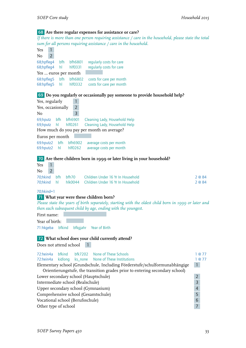# 68 **Are there regular expenses for assistance or care?**

*If there is more than one person requiring assistance / care in the household, please state the total sum for all persons requiring assistance / care in the household.*

| Yes<br>$\mathbf{1}$                                                                                                                                        |                                  |
|------------------------------------------------------------------------------------------------------------------------------------------------------------|----------------------------------|
| $\overline{2}$<br>No<br>68;hpfleg4<br>bfh<br>bfh6801<br>regularly costs for care                                                                           |                                  |
| regularly costs for care<br>68;hpfleg4<br>hl<br>hlf0331                                                                                                    |                                  |
| Yes  euros per month                                                                                                                                       |                                  |
| 68:hpfleg5<br>bfh<br>bfh6802<br>costs for care per month<br>68:hpfleg5<br>costs for care per month<br>hl<br>$h$ $f$ $0332$                                 |                                  |
| 69 Do you regularly or occasionally pay someone to provide household help?                                                                                 |                                  |
| Yes, regularly<br>1                                                                                                                                        |                                  |
| $\overline{2}$<br>Yes, occasionally<br>$\overline{3}$<br>No                                                                                                |                                  |
| 69;hputz<br>bfh<br>bfh6901<br>Cleaning Lady, Household Help                                                                                                |                                  |
| hlf0261<br>Cleaning Lady, Household Help<br>69;hputz<br>hl<br>How much do you pay per month on average?                                                    |                                  |
| Euros per month                                                                                                                                            |                                  |
| 69:hputz2<br>bfh<br>bfh6902<br>average costs per month                                                                                                     |                                  |
| 69:hputz2<br>hl<br>hlf0262<br>average costs per month                                                                                                      |                                  |
|                                                                                                                                                            |                                  |
| 70 Are there children born in 1999 or later living in your household?<br>Yes                                                                               |                                  |
| $\overline{2}$<br>No                                                                                                                                       |                                  |
| 70;hkind<br>bfh70<br>Children Under 16 Yr In Household<br>bfh                                                                                              | 2 @ 84                           |
| 70;hkind<br>hl<br>hlk0044<br>Children Under 16 Yr In Household                                                                                             | 2 @ 84                           |
| $70;$ hkind=1                                                                                                                                              |                                  |
| 71 What year were these children born?                                                                                                                     |                                  |
| Please state the years of birth separately, starting with the oldest child born in 1999 or later and                                                       |                                  |
| then each subsequent child by age, ending with the youngest.                                                                                               |                                  |
| First name:                                                                                                                                                |                                  |
| Year of birth:                                                                                                                                             |                                  |
| 71:hkgeba<br>bfkind<br>bfkgjahr<br>Year of Birth                                                                                                           |                                  |
| 72 What school does your child currently attend?                                                                                                           |                                  |
| Does not attend school                                                                                                                                     |                                  |
| bfkind<br>None of These Schools<br>72:hein4a<br>bfk7202                                                                                                    | 1 @ 77                           |
| 72:hein4a<br>kidlong<br>None of These Institutions<br>ks_none                                                                                              | 1 @ 77                           |
| Elementary school (Grundschule, Including Förderstufe/schulformunabhängige<br>Orientierungstufe, the transition grades prior to entering secondary school) | $\mathbf{1}$                     |
| Lower secondary school (Hauptschule)                                                                                                                       | $\overline{2}$                   |
| Intermediate school (Realschule)                                                                                                                           | $\overline{3}$                   |
| Upper secondary school (Gymnasium)                                                                                                                         | $\overline{a}$                   |
| Comprehensive school (Gesamtschule)<br>Vocational school (Berufsschule)                                                                                    | 5                                |
| Other type of school                                                                                                                                       | $\overline{6}$<br>$\overline{7}$ |
|                                                                                                                                                            |                                  |
|                                                                                                                                                            |                                  |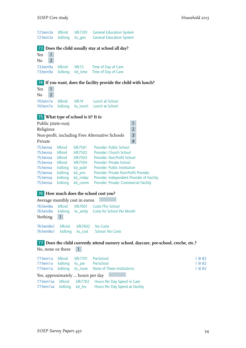| 72:hein3a<br>72:hein3a                      | bfkind<br>kidlong        | bfk7201<br>ks_gen   | <b>General Education System</b><br><b>General Education System</b>                    |        |
|---------------------------------------------|--------------------------|---------------------|---------------------------------------------------------------------------------------|--------|
|                                             |                          |                     | 73 Does the child usually stay at school all day?                                     |        |
| 1<br>Yes                                    |                          |                     |                                                                                       |        |
| $\overline{2}$<br>No<br>73;hein9a           | <b>bfkind</b>            | bfk73               | Time of Day of Care                                                                   |        |
| 73;hein9a                                   | kidlong                  | kd_time             | Time of Day of Care                                                                   |        |
|                                             |                          |                     | 74 If you want, does the facility provide the child with lunch?                       |        |
| Yes<br>1                                    |                          |                     |                                                                                       |        |
| $\overline{2}$<br>No                        |                          |                     |                                                                                       |        |
| 74;hein7a<br>74;hein7a                      | <b>bfkind</b><br>kidlong | bfk74<br>ks_lunch   | Lunch at School<br>Lunch at School                                                    |        |
| <b>75</b> What type of school is it? It is: |                          |                     |                                                                                       |        |
| Public (state-run)                          |                          |                     | $\mathbf{1}$                                                                          |        |
| Religious                                   |                          |                     | $\overline{2}$                                                                        |        |
| Private                                     |                          |                     | 3<br>Non-profit, including Free Alternative Schools<br>$\overline{4}$                 |        |
| 75;heinsa                                   | bfkind                   | <b>bfk7501</b>      | Provider: Public School                                                               |        |
| 75;heinsa                                   | bfkind                   | bfk7502             | Provider: Church School                                                               |        |
| 75;heinsa                                   | bfkind                   | <b>bfk7503</b>      | Provider: Non-Profit School                                                           |        |
| 75;heinsa                                   | bfkind                   | bfk7504             | <b>Provider: Private School</b>                                                       |        |
| 75;heinsa                                   | kidlong                  | kd_publ             | <b>Provider: Public Institution</b>                                                   |        |
| 75;heinsa<br>75;heinsa                      | kidlong<br>kidlong       | kd_priv<br>kd_indep | Provider: Private Non-Profit Provider<br>Provider: Independent Provider of Facility   |        |
| 75;heinsa                                   | kidlong                  | kd_comm             | Provider: Private- Commercial Facility                                                |        |
|                                             |                          |                     | 76 How much does the school cost you?                                                 |        |
| Average monthly cost in euros               |                          |                     |                                                                                       |        |
| 76:hein8a                                   | bfkind                   | <b>bfk7601</b>      | <b>Costs Ffor School</b>                                                              |        |
| 76:hein8a<br>Nothing                        | $\mathbf{1}$             |                     | kidlong ks_amtp Costs for School Per Month                                            |        |
| 76:hein8a1                                  | bfkind                   | bfk7602             | No Costs                                                                              |        |
| 76:hein8a1                                  | kidlong                  | ks_cost             | School: No Costs                                                                      |        |
|                                             |                          |                     | 77 Does the child currently attend nursery school, daycare, pre-school, creche, etc.? |        |
| No, none os these                           |                          | $\mathbf{1}$        |                                                                                       |        |
| 77:hein1a                                   | bfkind                   | <b>bfk7701</b>      | Pre-School                                                                            | 1 @ 82 |
| 77:hein1a                                   | kidlong                  | ks_pre              | Pre-School                                                                            | 1 @ 82 |
| 77:hein1a                                   | kidlong                  | ks_none             | None of These Institutions                                                            | 1 @ 82 |
| Yes, approximately  hours per day           |                          |                     |                                                                                       |        |
| 77:hein1sa                                  | bfkind                   |                     | bfk7702 Hours Per Day Spend in Care                                                   |        |

77:hein1sa kidlong kd\_hrs Hours Per Day Spend at Facility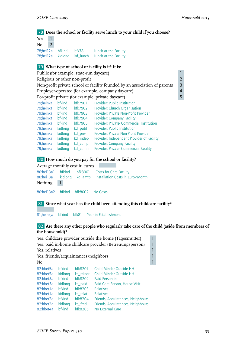#### 78 **Does the school or facility serve lunch to your child if you choose?**

| Yes    | $\vert$ 1 |  |                                                  |
|--------|-----------|--|--------------------------------------------------|
| $No$ 2 |           |  |                                                  |
|        |           |  | 78;hei12a bfkind bfk78 Lunch at the Facility     |
|        |           |  | 78;hei12a kidlong kd_lunch Lunch at the Facility |

### 79 **What type of school or facility is it? It is:**

| Public (for example, state-run daycare)                                    |                |  |  |  |  |  |
|----------------------------------------------------------------------------|----------------|--|--|--|--|--|
| Religious or other non-profit                                              | $\overline{z}$ |  |  |  |  |  |
| Non-profit private school or facility founded by an association of parents |                |  |  |  |  |  |
| Employer-operated (for example, company daycare)                           |                |  |  |  |  |  |
| For-profit private (for example, private daycare)                          |                |  |  |  |  |  |
| <b>Provider Public Institution</b><br>70 hainka hfkind hfk7001             |                |  |  |  |  |  |

| 79:heinka | <b>bfkind</b> | <b>bfk7901</b> | Provider: Public Institution               |
|-----------|---------------|----------------|--------------------------------------------|
| 79;heinka | <b>bfkind</b> | bfk7902        | Provider: Church Organisation              |
| 79;heinka | <b>bfkind</b> | <b>bfk7903</b> | Provider: Private Non-Profit Provider      |
| 79;heinka | <b>bfkind</b> | <b>bfk7904</b> | <b>Provider: Company Facility</b>          |
| 79;heinka | <b>bfkind</b> | <b>bfk7905</b> | Provider: Private- Commercial Institution  |
| 79;heinka | kidlong       | kd_publ        | Provider: Public Institution               |
| 79;heinka | kidlong       | kd_priv        | Provider: Private Non-Profit Provider      |
| 79;heinka | kidlong       | kd_indep       | Provider: Independent Provider of Facility |
| 79;heinka | kidlong       | kd_comp        | <b>Provider: Company Facility</b>          |
| 79;heinka | kidlong       | kd_comm        | Provider: Private-Commercial Facility      |
|           |               |                |                                            |

#### 80 **How much do you pay for the school or facility?**

Average monthly cost in euros

|           |  | 80:hei 13a1 bfkind bfk8001 Costs for Care Facility<br>80:hei13a1 kidlong kd_amtp Installation Costs in Euro/Month |
|-----------|--|-------------------------------------------------------------------------------------------------------------------|
| Nothing 1 |  |                                                                                                                   |

80:hei13a2 bfkind bfk8002 No Costs

#### 81 **Since what year has the child been attending this childcare facility?**

81;heinkja bfkind bfk81 Year in Establishment

#### 82 **Are there any other people who regularly take care of the child (aside from members of the household)?**

|                                                                                                                   |                                                                                                                               |                                                                                                   | Yes, childcare provider outside the home (Tagesmutter)                                                                                                                                                                                      | 1            |  |  |
|-------------------------------------------------------------------------------------------------------------------|-------------------------------------------------------------------------------------------------------------------------------|---------------------------------------------------------------------------------------------------|---------------------------------------------------------------------------------------------------------------------------------------------------------------------------------------------------------------------------------------------|--------------|--|--|
|                                                                                                                   | Yes, paid in-home childcare provider (Betreuungsperson)<br>$\mathbf{1}$                                                       |                                                                                                   |                                                                                                                                                                                                                                             |              |  |  |
| Yes, relatives                                                                                                    |                                                                                                                               |                                                                                                   |                                                                                                                                                                                                                                             | 1            |  |  |
| Yes, friends/acquaintances/neighbors                                                                              |                                                                                                                               |                                                                                                   |                                                                                                                                                                                                                                             |              |  |  |
| N <sub>0</sub>                                                                                                    |                                                                                                                               |                                                                                                   |                                                                                                                                                                                                                                             | $\mathbf{1}$ |  |  |
| 82:hhet5a<br>82:hbet5a<br>82:hhet3a<br>82:hbet3a<br>82:hhet1a<br>82:hbet1a<br>82:hbet2a<br>82:hbet2a<br>82:hbet4a | <b>hfkind</b><br>kidlong<br><b>hfkind</b><br>kidlong<br><b>hfkind</b><br>kidlong<br><b>hfkind</b><br>kidlong<br><b>hfkind</b> | hfk8201<br>kc_mindr<br>hfk8202<br>kc_paid<br>hfk8203<br>kc_relat<br>bfk8204<br>kc_frnd<br>bfk8205 | Child Minder Outside HH<br>Child Minder Outside HH<br>Paid Person in<br>Paid Care Person, House Visit<br><b>Relatives</b><br><b>Relatives</b><br>Friends, Acquintances, Neighbours<br>Friends, Acquintances, Neighbours<br>No External Care |              |  |  |